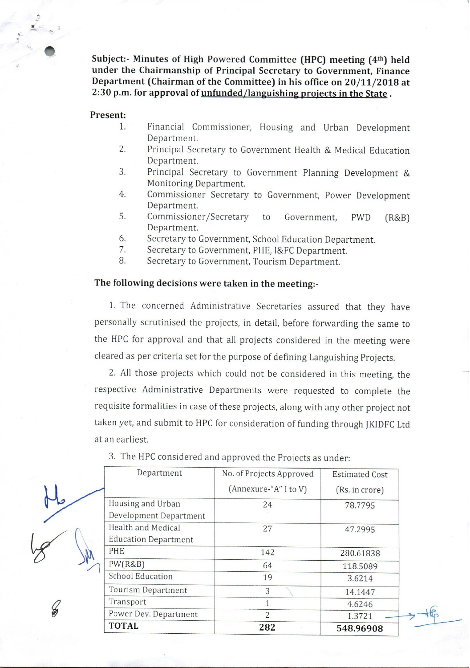Subject:- Minutes of High Powered Committee (HPC) meeting (4th) held under the Chairmanship of Principal Secretary to Government, Finance Department (Chairman of the Committee) in his office on 20/11/2018 at 2:30 p.m. for approval of unfunded/languishing projects in the State.

## Present:

- 1. Financial Commissioner, Housing and Urban Development Department.
- 2. Principal Secretary to Government Health & Medical Education Department.
- 3. Principal Secretary to Government Planning Development & Monitoring Department.
- $4.$ Commissioner Secretary to Government, Power Development Department.
- 5. Commissioner/Secretary to Government. **PWD**  $(R&B)$ Department.
- 6. Secretary to Government, School Education Department.
- 7. Secretary to Government, PHE, I&FC Department.
- 8. Secretary to Government, Tourism Department.

## The following decisions were taken in the meeting:-

1. The concerned Administrative Secretaries assured that they have personally scrutinised the projects, in detail, before forwarding the same to the HPC for approval and that all projects considered in the meeting were cleared as per criteria set for the purpose of defining Languishing Projects.

2. All those projects which could not be considered in this meeting, the respective Administrative Departments were requested to complete the requisite formalities in case of these projects, along with any other project not taken yet, and submit to HPC for consideration of funding through JKIDFC Ltd at an earliest.

3. The HPC considered and approved the Projects as under:

| Department                  | No. of Projects Approved | <b>Estimated Cost</b> |
|-----------------------------|--------------------------|-----------------------|
|                             | (Annexure-"A" I to V)    | (Rs. in crore)        |
| Housing and Urban           | 24                       | 78.7795               |
| Development Department      |                          |                       |
| Health and Medical          | 27                       | 47.2995               |
| <b>Education Department</b> |                          |                       |
| <b>PHE</b>                  | 142                      | 280.61838             |
| PW(R&B)                     | 64                       | 118.5089              |
| <b>School Education</b>     | 19                       | 3.6214                |
| Tourism Department          | 3                        | 14.1447               |
| Transport                   | 1                        | 4.6246                |
| Power Dev. Department       | $\overline{2}$           | 1.3721                |
| <b>TOTAL</b>                | 282                      | 548.96908             |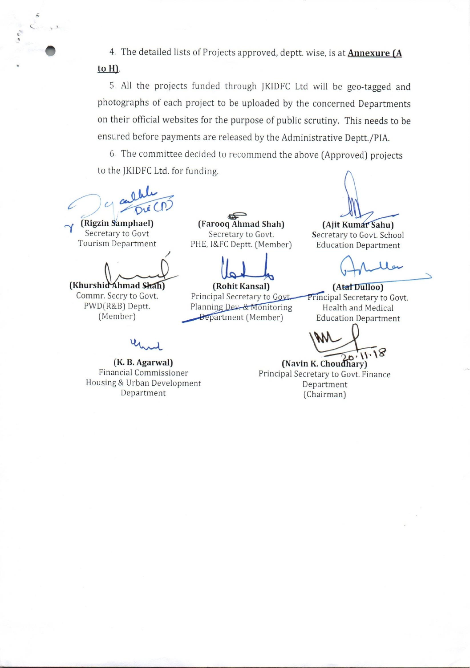4. The detailed lists of Projects approved, deptt. wise, is at **Annexure (A** to H).

5. All the projects funded through JKIDFC Ltd will be geo-tagged and photographs of each project to be uploaded by the concerned Departments on their official websites for the purpose of public scrutiny. This needs to be ensured before payments are released by the Administrative Deptt./PIA.

6. The committee decided to recommend the above (Approved) projects to the JKIDFC Ltd. for funding.

(Rigzin Samphael) Secretary to Govt **Tourism Department** 

(Khurshid Ahmad Shah) Commr. Secry to Govt. PWD(R&B) Deptt. (Member)

(K. B. Agarwal) **Financial Commissioner** Housing & Urban Development Department

(Farooq Ahmad Shah) Secretary to Govt. PHE, I&FC Deptt. (Member)

(Rohit Kansal) Principal Secretary to Govt. Planning Dev. & Monitoring Department (Member)

(Ajit Kumar Sahu) Secretary to Govt. School **Education Department** 

ler

(Atal Dulloo) Principal Secretary to Govt. Health and Medical **Education Department** 

18

(Navin K. Choudhary) Principal Secretary to Govt. Finance Department (Chairman)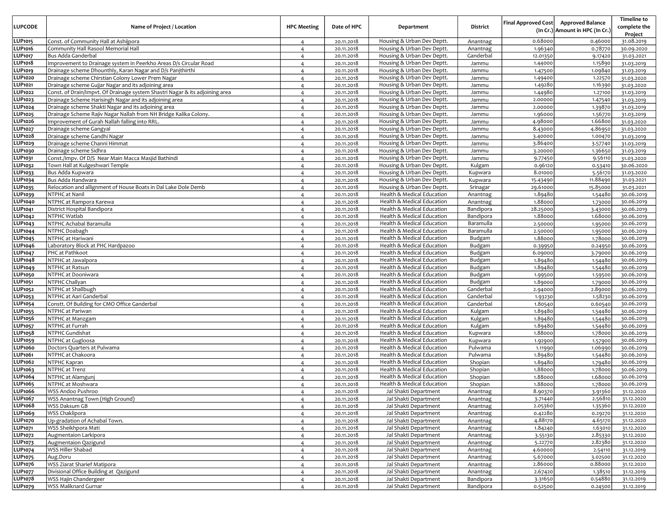| <b>LUPCODE</b>            | Name of Project / Location                                                   | <b>HPC Meeting</b>               | Date of HPC              | Department                                               | <b>District</b>        | <b>Final Approved Cost</b> | <b>Approved Balance</b><br>(In Cr.) Amount in HPC (In Cr.) | <b>Timeline to</b><br>complete the |
|---------------------------|------------------------------------------------------------------------------|----------------------------------|--------------------------|----------------------------------------------------------|------------------------|----------------------------|------------------------------------------------------------|------------------------------------|
| LUP1015                   | Const. of Community Hall at Ashijpora                                        |                                  |                          | Housing & Urban Dev Deptt.                               |                        | 0.68000                    | 0.46000                                                    | Project<br>31.08.2019              |
| <b>LUP1016</b>            | Community Hall Rasool Memorial Hall                                          | $\overline{4}$<br>$\overline{4}$ | 20.11.2018<br>20.11.2018 | Housing & Urban Dev Deptt.                               | Anantnag<br>Anantnag   | 1.96340                    | 0.78770                                                    | 30.09.2020                         |
| <b>LUP1017</b>            | Bus Adda Ganderbal                                                           | $\overline{4}$                   | 20.11.2018               | Housing & Urban Dev Deptt.                               | Ganderbal              | 12.01350                   | 9.17420                                                    | 31.03.2021                         |
| <b>LUP1018</b>            | Improvement to Drainage system in Peerkho Areas D/s Circular Road            | $\overline{4}$                   | 20.11.2018               | Housing & Urban Dev Deptt.                               | Jammu                  | 1.44000                    | 1.15890                                                    | 31.03.2019                         |
| <b>LUP1019</b>            | Drainage scheme Dhounthly, Karan Nagar and D/s Panjthirthi                   | $\overline{4}$                   | 20.11.2018               | Housing & Urban Dev Deptt.                               | Jammu                  | 1.47500                    | 1.09840                                                    | 31.03.2019                         |
| <b>LUP1020</b>            | Drainage scheme Chirstian Colony Lower Prem Nagar                            | $\overline{4}$                   | 20.11.2018               | Housing & Urban Dev Deptt.                               | Jammu                  | 1.49400                    | 1.22570                                                    | 31.03.2020                         |
| <b>LUP1021</b>            | Drainage scheme Gujjar Nagar and its adjoining area                          | $\overline{4}$                   | 20.11.2018               | Housing & Urban Dev Deptt.                               | Jammu                  | 1.49280                    | 1.16390                                                    | 31.03.2020                         |
| <b>LUP1022</b>            | Const. of Drain/Impvt. Of Drainage system Shastri Nagar & its adjoining area | $\overline{4}$                   | 20.11.2018               | Housing & Urban Dev Deptt.                               | Jammu                  | 1.44980                    | 1.27100                                                    | 31.03.2019                         |
| <b>LUP1023</b>            | Drainage Scheme Harisingh Nagar and its adjoining area                       | $\overline{4}$                   | 20.11.2018               | Housing & Urban Dev Deptt.                               | Jammu                  | 2.00000                    | 1.47540                                                    | 31.03.2019                         |
| LUP1024                   | Drainage scheme Shakti Nagar and its adjoining area                          | $\overline{a}$                   | 20.11.2018               | Housing & Urban Dev Deptt.                               | Jammu                  | 2.00000                    | 1.39870                                                    | 31.03.2019                         |
| LUP1025                   | Drainage Scheme Rajiv Nagar Nallah from NH Bridge Kalika Colony.             | $\overline{4}$                   | 20.11.2018               | Housing & Urban Dev Deptt.                               | Jammu                  | 1.96000                    | 1.56770                                                    | 31.03.2019                         |
| LUP1026                   | Improvement of Gurah Nallah falling into RRL.                                | $\overline{4}$                   | 20.11.2018               | Housing & Urban Dev Deptt.                               | Jammu                  | 4.98000                    | 1.66800                                                    | 31.03.2020                         |
| <b>LUP1027</b>            | Drainage scheme Gangyal                                                      | $\overline{4}$                   | 20.11.2018               | Housing & Urban Dev Deptt.                               | Jammu                  | 8.43000                    | 4.86950                                                    | 31.03.2020                         |
| LUP1028                   | Drainage scheme Gandhi Nagar                                                 | $\overline{4}$                   | 20.11.2018               | Housing & Urban Dev Deptt.                               | Jammu                  | 3.40000                    | 1.00470                                                    | 31.03.2019                         |
| LUP1029                   | Drainage scheme Channi Himmat                                                | $\overline{4}$                   | 20.11.2018               | Housing & Urban Dev Deptt.                               | Jammu                  | 3.86400                    | 3.57740                                                    | 31.03.2019                         |
| LUP1030                   | Drainage scheme Sidhra                                                       | $\overline{4}$                   | 20.11.2018               | Housing & Urban Dev Deptt.                               | Jammu                  | 3.20000                    | 1.36650                                                    | 31.03.2019                         |
| LUP1031<br>LUP1032        | Const./Impv. Of D/S Near Main Macca Masjid Bathindi                          | $\overline{4}$                   | 20.11.2018               | Housing & Urban Dev Deptt.                               | Jammu                  | 9.77450<br>0.96120         | 9.56110                                                    | 31.03.2020<br>30.06.2020           |
| LUP1033                   | Town Hall at Kulgeshwari Temple<br>Bus Adda Kupwara                          | $\overline{4}$<br>$\overline{4}$ | 20.11.2018<br>20.11.2018 | Housing & Urban Dev Deptt.<br>Housing & Urban Dev Deptt. | Kulgam<br>Kupwara      | 8.01000                    | 0.53410<br>5.56170                                         | 31.03.2020                         |
| LUP1034                   | Bus Adda Handwara                                                            | $\overline{4}$                   | 20.11.2018               | Housing & Urban Dev Deptt.                               | Kupwara                | 15.43490                   | 11.88490                                                   | 31.03.2021                         |
| LUP1035                   | Relocation and allignment of House Boats in Dal Lake Dole Demb               | $\overline{4}$                   | 20.11.2018               | Housing & Urban Dev Deptt.                               | Srinagar               | 29.61000                   | 15.85000                                                   | 31.03.2021                         |
| LUP1039                   | NTPHC at Nanil                                                               | $\overline{4}$                   | 20.11.2018               | Health & Medical Education                               | Anantnag               | 1.89480                    | 1.54480                                                    | 30.06.2019                         |
| <b>LUP1040</b>            | NTPHC at Rampora Karewa                                                      | $\overline{4}$                   | 20.11.2018               | Health & Medical Education                               | Anantnag               | 1.88000                    | 1.73000                                                    | 30.06.2019                         |
| <b>LUP1041</b>            | District Hospital Bandipora                                                  | $\overline{4}$                   | 20.11.2018               | Health & Medical Education                               | Bandipora              | 28.25000                   | 3.43000                                                    | 30.06.2019                         |
| LUP1042                   | NTPHC Watlab                                                                 | $\overline{4}$                   | 20.11.2018               | Health & Medical Education                               | Bandipora              | 1.88000                    | 1.68000                                                    | 30.06.2019                         |
| LUP1043                   | NTPHC Achabal Baramulla                                                      | $\overline{4}$                   | 20.11.2018               | Health & Medical Education                               | Baramulla              | 2.50000                    | 1.95000                                                    | 30.06.2019                         |
| <b>LUP1044</b>            | NTPHC Doabagh                                                                | $\overline{4}$                   | 20.11.2018               | Health & Medical Education                               | Baramulla              | 2.50000                    | 1.95000                                                    | 30.06.2019                         |
| <b>LUP1045</b>            | NTPHC at Hariwani                                                            | $\overline{4}$                   | 20.11.2018               | Health & Medical Education                               | Budgam                 | 1.88000                    | 1.78000                                                    | 30.06.2019                         |
| <b>LUP1046</b>            | Laboratory Block at PHC Hardpazoo                                            | $\overline{4}$                   | 20.11.2018               | Health & Medical Education                               | Budgam                 | 0.39950                    | 0.24950                                                    | 30.06.2019                         |
| <b>LUP1047</b>            | PHC at Pathkoot                                                              | $\overline{4}$                   | 20.11.2018               | Health & Medical Education                               | Budgam                 | 6.09000                    | 3.79000                                                    | 30.06.2019                         |
| <b>LUP1048</b>            | NTPHC at Jawalpora                                                           | $\overline{4}$                   | 20.11.2018               | Health & Medical Education                               | Budgam                 | 1.89480                    | 1.54480                                                    | 30.06.2019                         |
| <b>LUP1049</b>            | NTPHC at Ratsun                                                              | $\overline{4}$                   | 20.11.2018               | Health & Medical Education                               | Budgam                 | 1.89480                    | 1.54480                                                    | 30.06.2019                         |
| <b>LUP1050</b>            | NTPHC at Dooniwara                                                           | $\overline{4}$                   | 20.11.2018               | Health & Medical Education                               | Budgam                 | 1.99500                    | 1.59500                                                    | 30.06.2019                         |
| <b>LUP1051</b>            | NTPHC Challyan                                                               | $\overline{4}$                   | 20.11.2018               | Health & Medical Education                               | Budgam                 | 1.89000                    | 1.79000                                                    | 30.06.2019                         |
| LUP1052                   | NTPHC at Shallbugh<br>NTPHC at Aari Ganderbal                                | $\overline{4}$                   | 20.11.2018               | Health & Medical Education                               | Ganderbal<br>Ganderbal | 2.94000                    | 2.89000                                                    | 30.06.2019<br>30.06.2019           |
| LUP1053<br><b>LUP1054</b> | Constt. Of Building for CMO Office Ganderbal                                 | $\overline{4}$<br>$\overline{4}$ | 20.11.2018<br>20.11.2018 | Health & Medical Education<br>Health & Medical Education | Ganderbal              | 1.93230<br>1.80540         | 1.58230<br>0.60540                                         | 30.06.2019                         |
| <b>LUP1055</b>            | NTPHC at Pariwan                                                             | $\overline{4}$                   | 20.11.2018               | Health & Medical Education                               | Kulgam                 | 1.89480                    | 1.54480                                                    | 30.06.2019                         |
| <b>LUP1056</b>            | NTPHC at Manzgam                                                             | $\overline{4}$                   | 20.11.2018               | Health & Medical Education                               | Kulgam                 | 1.89480                    | 1.54480                                                    | 30.06.2019                         |
| <b>LUP1057</b>            | NTPHC at Furrah                                                              | $\overline{4}$                   | 20.11.2018               | Health & Medical Education                               | Kulgam                 | 1.89480                    | 1.54480                                                    | 30.06.2019                         |
| LUP1058                   | NTPHC Gundishat                                                              | $\overline{4}$                   | 20.11.2018               | Health & Medical Education                               | Kupwara                | 1.88000                    | 1.78000                                                    | 30.06.2019                         |
| <b>LUP1059</b>            | NTPHC at Gugloosa                                                            | $\overline{4}$                   | 20.11.2018               | Health & Medical Education                               | Kupwara                | 1.92900                    | 1.57900                                                    | 30.06.2019                         |
| <b>LUP1060</b>            | Doctors Quarters at Pulwama                                                  | $\overline{4}$                   | 20.11.2018               | Health & Medical Education                               | Pulwama                | 1.11990                    | 1.06990                                                    | 30.06.2019                         |
| LUP1061                   | NTPHC at Chakoora                                                            | $\overline{4}$                   | 20.11.2018               | Health & Medical Education                               | Pulwama                | 1.89480                    | 1.54480                                                    | 30.06.2019                         |
| LUP1062                   | NTPHC Kapran                                                                 | $\overline{4}$                   | 20.11.2018               | Health & Medical Education                               | Shopian                | 1.89480                    | 1.79480                                                    | 30.06.2019                         |
| LUP1063                   | NTPHC at Trenz                                                               | $\overline{4}$                   | 20.11.2018               | Health & Medical Education                               | Shopian                | 1.88000                    | 1.78000                                                    | 30.06.2019                         |
| <b>LUP1064</b>            | NTPHC at Alamgunj                                                            | $\overline{4}$                   | 20.11.2018               | Health & Medical Education                               | Shopian                | 1.88000                    | 1.68000                                                    | 30.06.2019                         |
| LUP1065                   | NTPHC at Moshwara                                                            | $\overline{4}$                   | 20.11.2018               | Health & Medical Education                               | Shopian                | 1.88000                    | 1.78000                                                    | 30.06.2019                         |
| <b>LUP1066</b>            | WSS Andoo Pushroo                                                            | $\overline{4}$                   | 20.11.2018               | Jal Shakti Department                                    | Anantnag               | 8.90370                    | 3.91360                                                    | 31.12.2020                         |
| LUP1067<br><b>LUP1068</b> | WSS Anantnag Town (High Ground)                                              | $\overline{4}$                   | 20.11.2018               | Jal Shakti Department                                    | Anantnag               | 3.71440                    | 2.56810                                                    | 31.12.2020                         |
| <b>LUP1069</b>            | WSS Daksum GB<br><b>WSS Chaklipora</b>                                       | $\overline{4}$                   | 20.11.2018               | Jal Shakti Department                                    | Anantnag               | 2.05360<br>0.42280         | 1.35360                                                    | 31.12.2020                         |
| <b>LUP1070</b>            | Up-gradation of Achabal Town.                                                | $\overline{4}$                   | 20.11.2018<br>20.11.2018 | Jal Shakti Department<br>Jal Shakti Department           | Anantnag<br>Anantnag   | 4.88170                    | 0.29270<br>4.65170                                         | 31.12.2020<br>31.12.2020           |
| <b>LUP1071</b>            | WSS Sheikhpora Mati                                                          | $\overline{4}$<br>$\overline{4}$ | 20.11.2018               | Jal Shakti Department                                    | Anantnag               | 1.84240                    | 1.63010                                                    | 31.12.2020                         |
| LUP1072                   | Augmentaion Larkipora                                                        | $\overline{4}$                   | 20.11.2018               | Jal Shakti Department                                    | Anantnag               | 3.55130                    | 2.85330                                                    | 31.12.2020                         |
| LUP1073                   | Augmentaion Qazigund                                                         | $\overline{4}$                   | 20.11.2018               | Jal Shakti Department                                    | Anantnag               | 5.22770                    | 2.82380                                                    | 31.12.2020                         |
| <b>LUP1074</b>            | WSS Hiller Shabad                                                            | $\overline{4}$                   | 20.11.2018               | Jal Shakti Department                                    | Anantnag               | 4.60000                    | 2.54110                                                    | 31.12.2019                         |
| LUP1075                   | Aug.Doru                                                                     | $\overline{4}$                   | 20.11.2018               | Jal Shakti Department                                    | Anantnag               | 5.67000                    | 3.02500                                                    | 31.12.2020                         |
| <b>LUP1076</b>            | WSS Ziarat Sharief Matipora                                                  | $\overline{4}$                   | 20.11.2018               | Jal Shakti Department                                    | Anantnag               | 2.86000                    | 0.88000                                                    | 31.12.2020                         |
| <b>LUP1077</b>            | Divisional Office Building at Qazigund                                       | $\overline{4}$                   | 20.11.2018               | Jal Shakti Department                                    | Anantnag               | 2.67420                    | 1.38510                                                    | 31.12.2019                         |
| <b>LUP1078</b>            | WSS Hajin Chandergeer                                                        | $\overline{4}$                   | 20.11.2018               | Jal Shakti Department                                    | Bandipora              | 3.31650                    | 0.54880                                                    | 31.12.2019                         |
| LUP1079                   | WSS Maliknard Gurnar                                                         | $\overline{4}$                   | 20.11.2018               | Jal Shakti Department                                    | Bandipora              | 0.52500                    | 0.24500                                                    | 31.12.2019                         |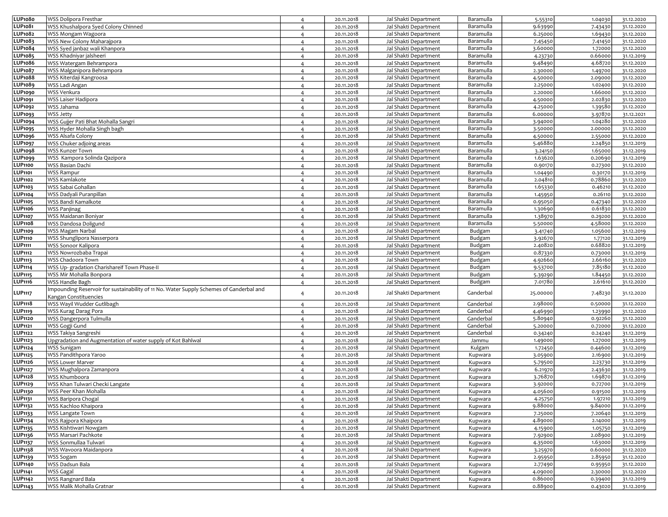| <b>LUP1080</b>                   | WSS Dolipora Fresthar                                                                   | $\overline{4}$                   | 20.11.2018               | Jal Shakti Department                          | Baramulla              | 5.55310            | 1.04030            | 31.12.2020               |
|----------------------------------|-----------------------------------------------------------------------------------------|----------------------------------|--------------------------|------------------------------------------------|------------------------|--------------------|--------------------|--------------------------|
| LUP1081                          | WSS Khushalpora Syed Colony Chinned                                                     | $\overline{4}$                   | 20.11.2018               | Jal Shakti Department                          | Baramulla              | 9.63990            | 7.43430            | 31.12.2020               |
| <b>LUP1082</b>                   | WSS Mongam Wagoora                                                                      | $\overline{4}$                   | 20.11.2018               | Jal Shakti Department                          | Baramulla              | 6.25000            | 1.69430            | 31.12.2020               |
| LUP1083                          | WSS New Colony Maharajpora                                                              | $\overline{4}$                   | 20.11.2018               | Jal Shakti Department                          | Baramulla              | 7.45450            | 7.41450            | 31.12.2020               |
| LUP1084                          | WSS Syed janbaz wali Khanpora                                                           | $\overline{4}$                   | 20.11.2018               | Jal Shakti Department                          | Baramulla              | 3.60000            | 1.72000            | 31.12.2020               |
| LUP1085                          | WSS Khadniyar jalsheeri                                                                 | $\overline{4}$                   | 20.11.2018               | Jal Shakti Department                          | Baramulla              | 4.23730            | 0.66000            | 31.12.2019               |
| <b>LUP1086</b>                   | WSS Watergam Behrampora                                                                 | $\overline{4}$                   | 20.11.2018               | Jal Shakti Department                          | Baramulla              | 9.48490            | 4.68720            | 31.12.2020               |
| <b>LUP1087</b>                   | WSS Malganipora Behrampora                                                              | $\overline{4}$                   | 20.11.2018               | Jal Shakti Department                          | Baramulla              | 2.30000            | 1.49700            | 31.12.2020               |
| <b>LUP1088</b>                   | WSS Kiterdaji Kangroosa                                                                 | $\overline{4}$                   | 20.11.2018               | Jal Shakti Department                          | Baramulla              | 4.50000            | 2.09000            | 31.12.2020               |
| LUP1089                          | WSS Ladi Angan                                                                          | $\overline{4}$                   | 20.11.2018               | Jal Shakti Department                          | Baramulla              | 2.25000            | 1.02400            | 31.12.2020               |
| LUP1090                          | WSS Venkura                                                                             | $\overline{4}$                   | 20.11.2018               | Jal Shakti Department                          | Baramulla              | 2.20000            | 1.66000            | 31.12.2020               |
| <b>LUP1091</b>                   | WSS Laiser Hadipora                                                                     | $\overline{4}$                   | 20.11.2018               | Jal Shakti Department                          | Baramulla              | 4.5000C            | 2.02830            | 31.12.2020               |
| LUP1092                          | WSS Jahama                                                                              | $\overline{4}$                   | 20.11.2018               | Jal Shakti Department                          | Baramulla              | 4.25000            | 1.39580            | 31.12.2020               |
| LUP1093                          | <b>WSS Jetty</b>                                                                        | $\overline{4}$                   | 20.11.2018               | Jal Shakti Department                          | Baramulla              | 6.00000            | 3.97870            | 31.12.2021               |
| <b>LUP1094</b>                   | WSS Gujjer Pati Bhat Mohalla Sangri                                                     | $\overline{4}$                   | 20.11.2018               | Jal Shakti Department                          | Baramulla              | 3.94000            | 1.04280            | 31.12.2020               |
| <b>LUP1095</b>                   | WSS Hyder Mohalla Singh bagh                                                            | $\overline{4}$                   | 20.11.2018               | Jal Shakti Department                          | Baramulla              | 3.50000            | 2.00000            | 31.12.2020               |
| <b>LUP1096</b>                   | WSS Alsafa Colony                                                                       | $\overline{4}$                   | 20.11.2018               | Jal Shakti Department                          | Baramulla              | 4.50000            | 2.55000            | 31.12.2020               |
| <b>LUP1097</b>                   | WSS Chuker adjoing areas                                                                | $\overline{4}$                   | 20.11.2018               | Jal Shakti Department                          | Baramulla              | 5.46880            | 2.24850            | 31.12.2019               |
| <b>LUP1098</b>                   | WSS Kunzer Town                                                                         | $\overline{4}$                   | 20.11.2018               | Jal Shakti Department                          | Baramulla              | 3.24150            | 1.65000            | 31.12.2019               |
| <b>LUP1099</b>                   | WSS Kampora Solinda Qazipora                                                            | $\overline{4}$                   | 20.11.2018               | Jal Shakti Department                          | Baramulla              | 1.63620            | 0.20690            | 31.12.2019               |
| <b>LUP1100</b>                   | WSS Basian Dachi                                                                        | $\overline{4}$                   | 20.11.2018               | Jal Shakti Department                          | Baramulla              | 0.90170            | 0.27300            | 31.12.2020               |
| <b>LUP1101</b>                   | <b>WSS Rampur</b>                                                                       | $\overline{4}$                   | 20.11.2018               | Jal Shakti Department                          | Baramulla              | 1.04490            | 0.30170            | 31.12.2019               |
| LUP1102                          | WSS Kamlakote                                                                           | $\overline{4}$                   | 20.11.2018               | Jal Shakti Department                          | Baramulla              | 2.04810            | 0.78860            | 31.12.2020               |
| LUP1103                          | WSS Sabai Gohallan                                                                      | $\overline{4}$                   | 20.11.2018               | Jal Shakti Department<br>Jal Shakti Department | Baramulla              | 1.65330            | 0.46210            | 31.12.2020               |
| <b>LUP1104</b>                   | WSS Dadyali Puranpillan                                                                 | $\overline{4}$                   | 20.11.2018               |                                                | Baramulla              | 1.45950            | 0.26110            | 31.12.2020               |
| <b>LUP1105</b><br><b>LUP1106</b> | WSS Bandi Kamalkote                                                                     | $\overline{4}$                   | 20.11.2018               | Jal Shakti Department<br>Jal Shakti Department | Baramulla              | 0.95050            | 0.47340            | 31.12.2020               |
| <b>LUP1107</b>                   | WSS Panjinag<br>WSS Maidanan Boniyar                                                    | $\overline{4}$                   | 20.11.2018               | Jal Shakti Department                          | Baramulla<br>Baramulla | 1.30690<br>1.38970 | 0.61830<br>0.29200 | 31.12.2020<br>31.12.2020 |
| <b>LUP1108</b>                   | WSS Dandosa Doligund                                                                    | $\overline{4}$                   | 20.11.2018<br>20.11.2018 | Jal Shakti Department                          | Baramulla              | 5.50000            | 4.58000            | 31.12.2020               |
| <b>LUP1109</b>                   | WSS Magam Narbal                                                                        | $\overline{4}$<br>$\overline{4}$ | 20.11.2018               | Jal Shakti Department                          | Budgam                 | 3.41740            | 1.05600            | 31.12.2019               |
| <b>LUP1110</b>                   | WSS Shunglipora Nasserpora                                                              | $\overline{4}$                   | 20.11.2018               | Jal Shakti Department                          | Budgam                 | 3.92670            | 1.77120            | 31.12.2019               |
| <b>LUP1111</b>                   | WSS Sonoor Kalipora                                                                     | $\overline{4}$                   | 20.11.2018               | Jal Shakti Department                          | Budgam                 | 2.40820            | 0.68820            | 31.12.2019               |
| LUP1112                          | WSS Nowrozbaba Trapai                                                                   | $\overline{4}$                   | 20.11.2018               | Jal Shakti Department                          | Budgam                 | 0.87330            | 0.73000            | 31.12.2019               |
| <b>LUP1113</b>                   | WSS Chadoora Town                                                                       | $\overline{4}$                   | 20.11.2018               | Jal Shakti Department                          | Budgam                 | 4.92660            | 2.66160            | 31.12.2020               |
| <b>LUP1114</b>                   | WSS Up- gradation Charishareif Town Phase-II                                            | $\overline{4}$                   | 20.11.2018               | Jal Shakti Department                          | Budgam                 | 9.53700            | 7.8518c            | 31.12.2020               |
| <b>LUP1115</b>                   | WSS Mir Mohalla Bonpora                                                                 | $\overline{4}$                   | 20.11.2018               | Jal Shakti Department                          | Budgam                 | 5.39290            | 1.84450            | 31.12.2020               |
| LUP1116                          | WSS Handle Bagh                                                                         | $\overline{4}$                   | 20.11.2018               | Jal Shakti Department                          | Budgam                 | 7.01780            | 2.61610            | 31.12.2020               |
| <b>LUP1117</b>                   | Impounding Reservoir for sustainability of 11 No. Water Supply Schemes of Ganderbal and | $\overline{4}$                   | 20.11.2018               | Jal Shakti Department                          | Ganderbal              | 25.00000           | 7.48230            | 31.12.2020               |
|                                  | Kangan Constituencies<br>WSS Wayil Wudder Gutlibagh                                     |                                  |                          | Jal Shakti Department                          | Ganderbal              |                    |                    |                          |
| LUP1118<br><b>LUP1119</b>        | WSS Kurag Darag Pora                                                                    | $\overline{4}$                   | 20.11.2018<br>20.11.2018 | Jal Shakti Department                          | Ganderbal              | 2.98000            | 0.50000            | 31.12.2020               |
| <b>LUP1120</b>                   | WSS Dangerpora Tulmulla                                                                 | $\overline{4}$<br>$\overline{4}$ | 20.11.2018               | Jal Shakti Department                          | Ganderbal              | 4.46990<br>5.80940 | 1.23990<br>0.92260 | 31.12.2020<br>31.12.2020 |
| <b>LUP1121</b>                   | WSS Gogji Gund                                                                          | $\overline{4}$                   | 20.11.2018               | Jal Shakti Department                          | Ganderbal              | 5.20000            | 0.72000            | 31.12.2020               |
| LUP1122                          | WSS Takiya Sangreshi                                                                    | $\overline{4}$                   | 20.11.2018               | Jal Shakti Department                          | Ganderbal              | 0.34240            | 0.24240            | 31.12.2019               |
| LUP1123                          | Upgradation and Augmentation of water supply of Kot Bahlwal                             | $\overline{4}$                   | 20.11.2018               | Jal Shakti Department                          | Jammu                  | 1.49000            | 1.27000            | 31.12.2019               |
| LUP1124                          | WSS Sunigam                                                                             | $\overline{4}$                   | 20.11.2018               | Jal Shakti Department                          | Kulgam                 | 1.72450            | 0.44600            | 31.12.2019               |
| <b>LUP1125</b>                   | WSS Pandithpora Yaroo                                                                   | $\overline{4}$                   | 20.11.2018               | Jal Shakti Department                          | Kupwara                | 3.05900            | 2.16900            | 31.12.2019               |
| LUP1126                          | <b>WSS Lower Marver</b>                                                                 | $\overline{4}$                   | 20.11.2018               | Jal Shakti Department                          | Kupwara                | 5.79500            | 2.23730            | 31.12.2019               |
| <b>LUP1127</b>                   | WSS Mughalpora Zamanpora                                                                | $\overline{4}$                   | 20.11.2018               | Jal Shakti Department                          | Kupwara                | 6.21970            | 2.43630            | 31.12.2019               |
| LUP1128                          | WSS Khumboora                                                                           | $\overline{4}$                   | 20.11.2018               | Jal Shakti Department                          | Kupwara                | 3.76870            | 1.69870            | 31.12.2019               |
| LUP1129                          | WSS Khan Tulwari Checki Langate                                                         | $\overline{4}$                   | 20.11.2018               | Jal Shakti Department                          | Kupwara                | 3.92000            | 0.72700            | 31.12.2019               |
| <b>LUP1130</b>                   | WSS Peer Khan Mohalla                                                                   | $\overline{4}$                   | 20.11.2018               | Jal Shakti Department                          | Kupwara                | 4.05600            | 0.91500            | 31.12.2019               |
| LUP1131                          | WSS Baripora Chogal                                                                     | $\overline{4}$                   | 20.11.2018               | Jal Shakti Department                          | Kupwara                | 4.25750            | 1.97210            | 31.12.2019               |
| LUP1132                          | WSS Kachloo Khaipora                                                                    | $\overline{4}$                   | 20.11.2018               | Jal Shakti Department                          | Kupwara                | 9.88000            | 9.84000            | 31.12.2019               |
| LUP1133                          | <b>WSS Langate Town</b>                                                                 | $\overline{4}$                   | 20.11.2018               | Jal Shakti Department                          | Kupwara                | 7.25000            | 7.20640            | 31.12.2019               |
| <b>LUP1134</b>                   | WSS Rajpora Khaipora                                                                    | $\overline{4}$                   | 20.11.2018               | Jal Shakti Department                          | Kupwara                | 4.89000            | 2.14000            | 31.12.2019               |
| LUP <sub>1135</sub>              | WSS Kishtiwari Nowgam                                                                   | $\overline{4}$                   | 20.11.2018               | Jal Shakti Department                          | Kupwara                | 4.15900            | 1.05750            | 31.12.2019               |
| LUP1136                          | WSS Marsari Pachkote                                                                    | $\overline{4}$                   | 20.11.2018               | Jal Shakti Department                          | Kupwara                | 7.92900            | 2.08900            | 31.12.2019               |
| <b>LUP1137</b>                   | WSS Sonmullaa Tulwari                                                                   | $\overline{4}$                   | 20.11.2018               | Jal Shakti Department                          | Kupwara                | 4.35000            | 1.63000            | 31.12.2019               |
| LUP1138                          | WSS Wavoora Maidanpora                                                                  | $\overline{4}$                   | 20.11.2018               | Jal Shakti Department                          | Kupwara                | 3.25970            | 0.60000            | 31.12.2020               |
| LUP1139                          | WSS Sogam                                                                               | $\overline{4}$                   | 20.11.2018               | Jal Shakti Department                          | Kupwara                | 2.95950            | 2.85950            | 31.12.2020               |
| <b>LUP1140</b>                   | WSS Dadsun Bala                                                                         | $\overline{4}$                   | 20.11.2018               | Jal Shakti Department                          | Kupwara                | 2.77490            | 0.95950            | 31.12.2020               |
| <b>LUP1141</b>                   | WSS Gagal                                                                               | $\overline{4}$                   | 20.11.2018               | Jal Shakti Department                          | Kupwara                | 4.09000            | 2.30000            | 31.12.2020               |
| <b>LUP1142</b>                   | <b>WSS Rangnard Bala</b>                                                                | $\overline{4}$                   | 20.11.2018               | Jal Shakti Department                          | Kupwara                | 0.86000            | 0.39400            | 31.12.2019               |
| <b>LUP1143</b>                   | WSS Malik Mohalla Gratnar                                                               | $\overline{4}$                   | 20.11.2018               | Jal Shakti Department                          | Kupwara                | 0.88900            | 0.43020            | 31.12.2019               |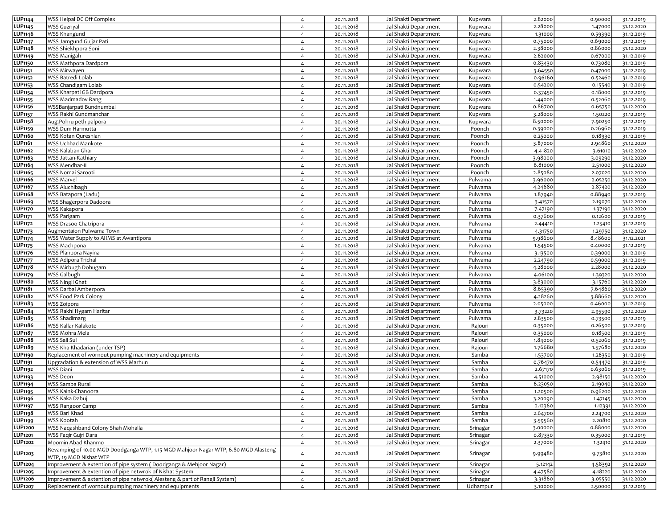| 2.28000<br><b>WSS Guzriyal</b><br>Jal Shakti Department<br>1.47000<br>31.12.2020<br>20.11.2018<br>Kupwara<br>$\overline{4}$<br>LUP1146<br><b>WSS Khangund</b><br>Jal Shakti Department<br>1.31000<br>0.59390<br>20.11.2018<br>Kupwara<br>31.12.2019<br>$\overline{4}$<br><b>LUP1147</b><br>WSS Jamgund Gujjar Pati<br>Jal Shakti Department<br>0.75000<br>0.69000<br>31.12.2019<br>20.11.2018<br>Kupwara<br>$\overline{4}$<br><b>LUP1148</b><br>WSS Shiekhpora Soni<br>Jal Shakti Department<br>2.38000<br>0.86000<br>31.12.2020<br>20.11.2018<br>Kupwara<br>$\overline{4}$<br>LUP1149<br>WSS Manigah<br>Jal Shakti Department<br>2.62000<br>0.67000<br>31.12.2019<br>20.11.2018<br>Kupwara<br>$\overline{4}$<br><b>LUP1150</b><br>WSS Mathpora Dardpora<br>Jal Shakti Department<br>0.83430<br>0.73080<br>20.11.2018<br>Kupwara<br>31.12.2019<br>$\overline{4}$<br><b>LUP1151</b><br>WSS Mirwayen<br>Jal Shakti Department<br>3.64550<br>31.12.2019<br>20.11.2018<br>Kupwara<br>0.47000<br>$\overline{4}$<br>LUP1152<br>WSS Batredi Lolab<br>Jal Shakti Department<br>0.96160<br>0.52460<br>31.12.2019<br>20.11.2018<br>Kupwara<br>$\overline{4}$<br>LUP1153<br>WSS Chandigam Lolab<br>Jal Shakti Department<br>0.54200<br>0.15540<br>31.12.2019<br>20.11.2018<br>Kupwara<br>$\overline{4}$<br><b>LUP1154</b><br>WSS Kharpati GB Dardpora<br>Jal Shakti Department<br>0.18000<br>31.12.2019<br>20.11.2018<br>Kupwara<br>0.37450<br>$\overline{4}$<br><b>LUP1155</b><br>WSS Madmadov Rang<br>Jal Shakti Department<br>1.44000<br>0.52060<br>20.11.2018<br>Kupwara<br>31.12.2019<br>$\overline{4}$<br>0.86700<br><b>LUP1156</b><br>WSSBanjarpati Bundnumbal<br>Jal Shakti Department<br>0.65750<br>31.12.2020<br>20.11.2018<br>Kupwara<br>$\overline{4}$<br><b>LUP1157</b><br>WSS Rakhi Gundmanchar<br>Jal Shakti Department<br>3.28000<br>20.11.2018<br>Kupwara<br>1.50220<br>31.12.2019<br>$\overline{4}$<br>LUP1158<br>8.50000<br>Aug.Pohru peth palpora<br>Jal Shakti Department<br>7.90250<br>31.12.2019<br>20.11.2018<br>Kupwara<br>$\overline{4}$<br><b>LUP1159</b><br>WSS Dum Harmutta<br>Jal Shakti Department<br>0.39000<br>0.26960<br>20.11.2018<br>Poonch<br>31.12.2019<br>$\overline{4}$<br><b>LUP1160</b><br>WSS Kotan Qureshian<br>Jal Shakti Department<br>0.18930<br>20.11.2018<br>Poonch<br>0.25000<br>31.12.2019<br>$\overline{4}$<br>LUP1161<br>WSS Uchhad Mankote<br>Jal Shakti Department<br>20.11.2018<br>Poonch<br>3.87000<br>2.94860<br>31.12.2020<br>$\overline{4}$<br>LUP1162<br>WSS Kalaban Ghar<br>20.11.2018<br>Jal Shakti Department<br>4.41820<br>Poonch<br>3.61010<br>31.12.2020<br>$\overline{4}$<br>WSS Jattan-Kathiary<br>Jal Shakti Department<br>LUP1163<br>20.11.2018<br>Poonch<br>3.98000<br>3.09290<br>31.12.2020<br>$\overline{4}$<br>LUP1164<br>WSS Mendhar-II<br>Jal Shakti Department<br>6.81000<br>20.11.2018<br>Poonch<br>2.51000<br>31.12.2020<br>$\overline{4}$<br>WSS Nomai Sarooti<br>Jal Shakti Department<br>2.85080<br><b>LUP1165</b><br>20.11.2018<br>Poonch<br>2.07020<br>31.12.2020<br>$\overline{4}$<br>WSS Marvel<br>LUP1166<br>Jal Shakti Department<br>Pulwama<br>20.11.2018<br>3.96000<br>2.05250<br>31.12.2020<br>$\overline{4}$<br>LUP1167<br>WSS Aluchibagh<br>Jal Shakti Department<br>Pulwama<br>20.11.2018<br>4.24680<br>2.87420<br>31.12.2020<br>$\overline{4}$<br>LUP1168<br>WSS Batapora (Ladu)<br>Jal Shakti Department<br>Pulwama<br>1.87940<br>0.88940<br>20.11.2018<br>31.12.2019<br>$\overline{4}$<br>LUP1169<br>WSS Shagerpora Dadoora<br>Jal Shakti Department<br>Pulwama<br>3.41570<br>2.19070<br>31.12.2020<br>20.11.2018<br>$\overline{4}$<br><b>LUP1170</b><br>WSS Kakapora<br>Jal Shakti Department<br>Pulwama<br>31.12.2020<br>20.11.2018<br>7.47190<br>1.37190<br>$\overline{a}$<br><b>LUP1171</b><br>WSS Parigam<br>Jal Shakti Department<br>Pulwama<br>0.37600<br>0.12600<br>31.12.2019<br>20.11.2018<br>$\overline{4}$<br><b>LUP1172</b><br>WSS Drasoo Chatripora<br>Jal Shakti Department<br>Pulwama<br>2.44410<br>31.12.2019<br>20.11.2018<br>1.25410<br>$\overline{4}$<br><b>LUP1173</b><br>Augmentaion Pulwama Town<br>Jal Shakti Department<br>Pulwama<br>4.31750<br>1.29750<br>20.11.2018<br>31.12.2020<br>$\overline{4}$<br><b>LUP1174</b><br>WSS Water Supply to AllMS at Awantipora<br>Jal Shakti Department<br>9.98600<br>8.48600<br>31.12.2021<br>20.11.2018<br>Pulwama<br>$\overline{4}$<br><b>LUP1175</b><br>WSS Machpona<br>Jal Shakti Department<br>0.40000<br>20.11.2018<br>Pulwama<br>1.54500<br>31.12.2019<br>$\overline{4}$<br><b>LUP1176</b><br>WSS Planpora Nayina<br>Jal Shakti Department<br>Pulwama<br>3.13500<br>31.12.2019<br>20.11.2018<br>0.39000<br>$\overline{4}$<br><b>LUP1177</b><br>WSS Adipora Trichal<br>Jal Shakti Department<br>Pulwama<br>20.11.2018<br>2.24790<br>0.59000<br>31.12.2019<br>$\overline{4}$<br><b>LUP1178</b><br>4.28000<br>WSS Mirbugh Dohugam<br>Jal Shakti Department<br>Pulwama<br>2.28000<br>31.12.2020<br>20.11.2018<br>$\overline{4}$<br><b>LUP1179</b><br>Jal Shakti Department<br>Pulwama<br>4.06100<br>31.12.2020<br>WSS Galbugh<br>20.11.2018<br>1.39320<br>$\overline{4}$<br><b>LUP1180</b><br>3.83000<br>WSS Ningli Ghat<br>Jal Shakti Department<br>Pulwama<br>3.15760<br>20.11.2018<br>31.12.2020<br>$\overline{4}$<br>LUP1181<br>WSS Darbal Amberpora<br>Jal Shakti Department<br>8.65390<br>7.64860<br>31.12.2020<br>20.11.2018<br>Pulwama<br>$\overline{4}$<br>LUP1182<br>3.88660<br>WSS Food Park Colony<br>Jal Shakti Department<br>Pulwama<br>4.28260<br>20.11.2018<br>31.12.2020<br>$\overline{4}$<br>LUP1183<br>0.46000<br>WSS Zoipora<br>Jal Shakti Department<br>Pulwama<br>2.05000<br>31.12.2019<br>20.11.2018<br>$\overline{4}$<br><b>LUP1184</b><br>WSS Rakhi Hygam Haritar<br>Jal Shakti Department<br>Pulwama<br>20.11.2018<br>3.73220<br>2.95590<br>31.12.2020<br>$\overline{4}$<br>LUP1185<br><b>WSS Shadimarg</b><br>Jal Shakti Department<br>Pulwama<br>20.11.2018<br>2.83500<br>0.73500<br>31.12.2019<br>$\overline{4}$<br><b>LUP1186</b><br>WSS Kallar Kalakote<br>Jal Shakti Department<br>20.11.2018<br>Rajouri<br>0.35000<br>0.26500<br>31.12.2019<br>$\overline{4}$<br>LUP1187<br>WSS Mohra Mela<br>20.11.2018<br>Jal Shakti Department<br>0.18500<br>Rajouri<br>0.35000<br>31.12.2019<br>$\overline{4}$<br><b>LUP1188</b><br>WSS Sail Sui<br>Jal Shakti Department<br>20.11.2018<br>Rajouri<br>1.84000<br>0.52060<br>31.12.2019<br>$\overline{4}$<br>LUP1189<br>WSS Kha Khadarian (under TSP)<br>Jal Shakti Department<br>Rajouri<br>1.76680<br>20.11.2018<br>1.57680<br>31.12.2020<br>$\overline{4}$<br>Replacement of wornout pumping machinery and equipments<br>Jal Shakti Department<br><b>LUP1190</b><br>20.11.2018<br>Samba<br>1.53700<br>1.26350<br>31.12.2019<br>$\overline{4}$<br><b>LUP1191</b><br>Jal Shakti Department<br>Samba<br>Upgradation & extension of WSS Marhun<br>20.11.2018<br>0.76470<br>0.54470<br>31.12.2019<br>$\overline{4}$<br>WSS Diani<br>Jal Shakti Department<br>LUP1192<br>Samba<br>2.67170<br>0.63060<br>20.11.2018<br>31.12.2019<br>$\overline{4}$<br>LUP1193<br><b>WSS Deon</b><br>Jal Shakti Department<br>Samba<br>20.11.2018<br>4.51000<br>2.98150<br>$\overline{4}$<br>31.12.2020<br><b>LUP1194</b><br>WSS Samba Rural<br>Jal Shakti Department<br>Samba<br>6.23050<br>20.11.2018<br>2.19040<br>31.12.2020<br>$\overline{4}$<br>LUP1195<br>WSS Kaink-Chanoora<br>Jal Shakti Department<br>Samba<br>1.20500<br>0.96200<br>31.12.2020<br>20.11.2018<br>$\overline{4}$<br>LUP1196<br>WSS Kaka Dabuj<br>3.20090<br>20.11.2018<br>Jal Shakti Department<br>Samba<br>1.47145<br>31.12.2020<br>$\overline{4}$<br>LUP1197<br><b>WSS Rangoor Camp</b><br>Jal Shakti Department<br>Samba<br>2.12360<br>1.12391<br>20.11.2018<br>31.12.2020<br>$\overline{4}$<br><b>LUP1198</b><br>WSS Bari Khad<br>20.11.2018<br>Jal Shakti Department<br>Samba<br>2.64700<br>2.24700<br>31.12.2020<br>$\overline{4}$<br>LUP1199<br>WSS Kootah<br>Jal Shakti Department<br>3.59560<br>2.20810<br>20.11.2018<br>Samba<br>31.12.2020<br>$\overline{4}$<br><b>LUP1200</b><br>WSS Nagashband Colony Shah Mohalla<br>0.88000<br>Jal Shakti Department<br>Srinagar<br>20.11.2018<br>3.00000<br>31.12.2020<br>$\overline{4}$<br><b>LUP1201</b><br>0.87330<br>WSS Faqir Gujri Dara<br>Jal Shakti Department<br>Srinagar<br>0.35000<br>31.12.2019<br>20.11.2018<br>$\overline{4}$<br><b>LUP1202</b><br>Moomin Abad Khanmo<br>Jal Shakti Department<br>2.37000<br>1.32410<br>20.11.2018<br>Srinagar<br>31.12.2020<br>$\overline{4}$<br>Revamping of 10.00 MGD Doodganga WTP, 1.15 MGD Mahjoor Nagar WTP, 6.80 MGD Alasteng<br>LUP1203<br>Jal Shakti Department<br>20.11.2018<br>Srinagar<br>9.99480<br>9.73810<br>$\overline{4}$<br>31.12.2020<br>WTP, 19 MGD Nishat WTP<br>Improvement & extention of pipe system (Doodganga & Mehjoor Nagar)<br>LUP <sub>1204</sub><br>Jal Shakti Department<br>Srinagar<br>20.11.2018<br>4.58392<br>$\overline{4}$<br>5.12142<br>31.12.2020<br>Improvement & extention of pipe netwrok of Nishat System<br>Jal Shakti Department<br><b>LUP1205</b><br>20.11.2018<br>Srinagar<br>4.47580<br>4.18220<br>$\overline{4}$<br>31.12.2020<br>LUP1206<br>Improvement & extention of pipe netwrok(Alesteng & part of Rangil System)<br>Jal Shakti Department<br>Srinagar<br>20.11.2018<br>3.31860<br>3.05550<br>$\overline{4}$<br>31.12.2020<br>2.50000 | LUP <sub>1144</sub> | WSS Helpal DC Off Complex                               | $\overline{4}$ | 20.11.2018 | Jal Shakti Department | Kupwara  | 2.82000 | 0.90000 | 31.12.2019 |
|------------------------------------------------------------------------------------------------------------------------------------------------------------------------------------------------------------------------------------------------------------------------------------------------------------------------------------------------------------------------------------------------------------------------------------------------------------------------------------------------------------------------------------------------------------------------------------------------------------------------------------------------------------------------------------------------------------------------------------------------------------------------------------------------------------------------------------------------------------------------------------------------------------------------------------------------------------------------------------------------------------------------------------------------------------------------------------------------------------------------------------------------------------------------------------------------------------------------------------------------------------------------------------------------------------------------------------------------------------------------------------------------------------------------------------------------------------------------------------------------------------------------------------------------------------------------------------------------------------------------------------------------------------------------------------------------------------------------------------------------------------------------------------------------------------------------------------------------------------------------------------------------------------------------------------------------------------------------------------------------------------------------------------------------------------------------------------------------------------------------------------------------------------------------------------------------------------------------------------------------------------------------------------------------------------------------------------------------------------------------------------------------------------------------------------------------------------------------------------------------------------------------------------------------------------------------------------------------------------------------------------------------------------------------------------------------------------------------------------------------------------------------------------------------------------------------------------------------------------------------------------------------------------------------------------------------------------------------------------------------------------------------------------------------------------------------------------------------------------------------------------------------------------------------------------------------------------------------------------------------------------------------------------------------------------------------------------------------------------------------------------------------------------------------------------------------------------------------------------------------------------------------------------------------------------------------------------------------------------------------------------------------------------------------------------------------------------------------------------------------------------------------------------------------------------------------------------------------------------------------------------------------------------------------------------------------------------------------------------------------------------------------------------------------------------------------------------------------------------------------------------------------------------------------------------------------------------------------------------------------------------------------------------------------------------------------------------------------------------------------------------------------------------------------------------------------------------------------------------------------------------------------------------------------------------------------------------------------------------------------------------------------------------------------------------------------------------------------------------------------------------------------------------------------------------------------------------------------------------------------------------------------------------------------------------------------------------------------------------------------------------------------------------------------------------------------------------------------------------------------------------------------------------------------------------------------------------------------------------------------------------------------------------------------------------------------------------------------------------------------------------------------------------------------------------------------------------------------------------------------------------------------------------------------------------------------------------------------------------------------------------------------------------------------------------------------------------------------------------------------------------------------------------------------------------------------------------------------------------------------------------------------------------------------------------------------------------------------------------------------------------------------------------------------------------------------------------------------------------------------------------------------------------------------------------------------------------------------------------------------------------------------------------------------------------------------------------------------------------------------------------------------------------------------------------------------------------------------------------------------------------------------------------------------------------------------------------------------------------------------------------------------------------------------------------------------------------------------------------------------------------------------------------------------------------------------------------------------------------------------------------------------------------------------------------------------------------------------------------------------------------------------------------------------------------------------------------------------------------------------------------------------------------------------------------------------------------------------------------------------------------------------------------------------------------------------------------------------------------------------------------------------------------------------------------------------------------------------------------------------------------------------------------------------------------------------------------------------------------------------------------------------------------------------------------------------------------------------------------------------------------------------------------------------------------------------------------------------------------------------------------------------------------------------------------------------------------------------------------------------------------------------------------------------------------------------------------------------------------------------------------------------------------------------------------------------------------------------------------------------------------------------------------------------------------------------------------------------------------------------------------------------------------------------------------------------------------------------------------------------------------------------------------------------------------------------------------------------------------------------------------------------------------------------------------------------------------------------------------------------------------------------------------------------------------------------------------------------------------------------------------------------------------------------------------------------------------------------------------------------------------------------------------------------------------------------------------------------------------------------------------------------------------------------------------------------------------------------------------------------------------------------------------------------------------------------------------------------------------------------------|---------------------|---------------------------------------------------------|----------------|------------|-----------------------|----------|---------|---------|------------|
|                                                                                                                                                                                                                                                                                                                                                                                                                                                                                                                                                                                                                                                                                                                                                                                                                                                                                                                                                                                                                                                                                                                                                                                                                                                                                                                                                                                                                                                                                                                                                                                                                                                                                                                                                                                                                                                                                                                                                                                                                                                                                                                                                                                                                                                                                                                                                                                                                                                                                                                                                                                                                                                                                                                                                                                                                                                                                                                                                                                                                                                                                                                                                                                                                                                                                                                                                                                                                                                                                                                                                                                                                                                                                                                                                                                                                                                                                                                                                                                                                                                                                                                                                                                                                                                                                                                                                                                                                                                                                                                                                                                                                                                                                                                                                                                                                                                                                                                                                                                                                                                                                                                                                                                                                                                                                                                                                                                                                                                                                                                                                                                                                                                                                                                                                                                                                                                                                                                                                                                                                                                                                                                                                                                                                                                                                                                                                                                                                                                                                                                                                                                                                                                                                                                                                                                                                                                                                                                                                                                                                                                                                                                                                                                                                                                                                                                                                                                                                                                                                                                                                                                                                                                                                                                                                                                                                                                                                                                                                                                                                                                                                                                                                                                                                                                                                                                                                                                                                                                                                                                                                                                                                                                                                                                                                                                                                                                                                                                                                                                                                                                                                                                                                                                                                                                                                                                                                                              | <b>LUP1145</b>      |                                                         |                |            |                       |          |         |         |            |
|                                                                                                                                                                                                                                                                                                                                                                                                                                                                                                                                                                                                                                                                                                                                                                                                                                                                                                                                                                                                                                                                                                                                                                                                                                                                                                                                                                                                                                                                                                                                                                                                                                                                                                                                                                                                                                                                                                                                                                                                                                                                                                                                                                                                                                                                                                                                                                                                                                                                                                                                                                                                                                                                                                                                                                                                                                                                                                                                                                                                                                                                                                                                                                                                                                                                                                                                                                                                                                                                                                                                                                                                                                                                                                                                                                                                                                                                                                                                                                                                                                                                                                                                                                                                                                                                                                                                                                                                                                                                                                                                                                                                                                                                                                                                                                                                                                                                                                                                                                                                                                                                                                                                                                                                                                                                                                                                                                                                                                                                                                                                                                                                                                                                                                                                                                                                                                                                                                                                                                                                                                                                                                                                                                                                                                                                                                                                                                                                                                                                                                                                                                                                                                                                                                                                                                                                                                                                                                                                                                                                                                                                                                                                                                                                                                                                                                                                                                                                                                                                                                                                                                                                                                                                                                                                                                                                                                                                                                                                                                                                                                                                                                                                                                                                                                                                                                                                                                                                                                                                                                                                                                                                                                                                                                                                                                                                                                                                                                                                                                                                                                                                                                                                                                                                                                                                                                                                                                              |                     |                                                         |                |            |                       |          |         |         |            |
|                                                                                                                                                                                                                                                                                                                                                                                                                                                                                                                                                                                                                                                                                                                                                                                                                                                                                                                                                                                                                                                                                                                                                                                                                                                                                                                                                                                                                                                                                                                                                                                                                                                                                                                                                                                                                                                                                                                                                                                                                                                                                                                                                                                                                                                                                                                                                                                                                                                                                                                                                                                                                                                                                                                                                                                                                                                                                                                                                                                                                                                                                                                                                                                                                                                                                                                                                                                                                                                                                                                                                                                                                                                                                                                                                                                                                                                                                                                                                                                                                                                                                                                                                                                                                                                                                                                                                                                                                                                                                                                                                                                                                                                                                                                                                                                                                                                                                                                                                                                                                                                                                                                                                                                                                                                                                                                                                                                                                                                                                                                                                                                                                                                                                                                                                                                                                                                                                                                                                                                                                                                                                                                                                                                                                                                                                                                                                                                                                                                                                                                                                                                                                                                                                                                                                                                                                                                                                                                                                                                                                                                                                                                                                                                                                                                                                                                                                                                                                                                                                                                                                                                                                                                                                                                                                                                                                                                                                                                                                                                                                                                                                                                                                                                                                                                                                                                                                                                                                                                                                                                                                                                                                                                                                                                                                                                                                                                                                                                                                                                                                                                                                                                                                                                                                                                                                                                                                                              |                     |                                                         |                |            |                       |          |         |         |            |
|                                                                                                                                                                                                                                                                                                                                                                                                                                                                                                                                                                                                                                                                                                                                                                                                                                                                                                                                                                                                                                                                                                                                                                                                                                                                                                                                                                                                                                                                                                                                                                                                                                                                                                                                                                                                                                                                                                                                                                                                                                                                                                                                                                                                                                                                                                                                                                                                                                                                                                                                                                                                                                                                                                                                                                                                                                                                                                                                                                                                                                                                                                                                                                                                                                                                                                                                                                                                                                                                                                                                                                                                                                                                                                                                                                                                                                                                                                                                                                                                                                                                                                                                                                                                                                                                                                                                                                                                                                                                                                                                                                                                                                                                                                                                                                                                                                                                                                                                                                                                                                                                                                                                                                                                                                                                                                                                                                                                                                                                                                                                                                                                                                                                                                                                                                                                                                                                                                                                                                                                                                                                                                                                                                                                                                                                                                                                                                                                                                                                                                                                                                                                                                                                                                                                                                                                                                                                                                                                                                                                                                                                                                                                                                                                                                                                                                                                                                                                                                                                                                                                                                                                                                                                                                                                                                                                                                                                                                                                                                                                                                                                                                                                                                                                                                                                                                                                                                                                                                                                                                                                                                                                                                                                                                                                                                                                                                                                                                                                                                                                                                                                                                                                                                                                                                                                                                                                                                              |                     |                                                         |                |            |                       |          |         |         |            |
|                                                                                                                                                                                                                                                                                                                                                                                                                                                                                                                                                                                                                                                                                                                                                                                                                                                                                                                                                                                                                                                                                                                                                                                                                                                                                                                                                                                                                                                                                                                                                                                                                                                                                                                                                                                                                                                                                                                                                                                                                                                                                                                                                                                                                                                                                                                                                                                                                                                                                                                                                                                                                                                                                                                                                                                                                                                                                                                                                                                                                                                                                                                                                                                                                                                                                                                                                                                                                                                                                                                                                                                                                                                                                                                                                                                                                                                                                                                                                                                                                                                                                                                                                                                                                                                                                                                                                                                                                                                                                                                                                                                                                                                                                                                                                                                                                                                                                                                                                                                                                                                                                                                                                                                                                                                                                                                                                                                                                                                                                                                                                                                                                                                                                                                                                                                                                                                                                                                                                                                                                                                                                                                                                                                                                                                                                                                                                                                                                                                                                                                                                                                                                                                                                                                                                                                                                                                                                                                                                                                                                                                                                                                                                                                                                                                                                                                                                                                                                                                                                                                                                                                                                                                                                                                                                                                                                                                                                                                                                                                                                                                                                                                                                                                                                                                                                                                                                                                                                                                                                                                                                                                                                                                                                                                                                                                                                                                                                                                                                                                                                                                                                                                                                                                                                                                                                                                                                                              |                     |                                                         |                |            |                       |          |         |         |            |
|                                                                                                                                                                                                                                                                                                                                                                                                                                                                                                                                                                                                                                                                                                                                                                                                                                                                                                                                                                                                                                                                                                                                                                                                                                                                                                                                                                                                                                                                                                                                                                                                                                                                                                                                                                                                                                                                                                                                                                                                                                                                                                                                                                                                                                                                                                                                                                                                                                                                                                                                                                                                                                                                                                                                                                                                                                                                                                                                                                                                                                                                                                                                                                                                                                                                                                                                                                                                                                                                                                                                                                                                                                                                                                                                                                                                                                                                                                                                                                                                                                                                                                                                                                                                                                                                                                                                                                                                                                                                                                                                                                                                                                                                                                                                                                                                                                                                                                                                                                                                                                                                                                                                                                                                                                                                                                                                                                                                                                                                                                                                                                                                                                                                                                                                                                                                                                                                                                                                                                                                                                                                                                                                                                                                                                                                                                                                                                                                                                                                                                                                                                                                                                                                                                                                                                                                                                                                                                                                                                                                                                                                                                                                                                                                                                                                                                                                                                                                                                                                                                                                                                                                                                                                                                                                                                                                                                                                                                                                                                                                                                                                                                                                                                                                                                                                                                                                                                                                                                                                                                                                                                                                                                                                                                                                                                                                                                                                                                                                                                                                                                                                                                                                                                                                                                                                                                                                                                              |                     |                                                         |                |            |                       |          |         |         |            |
|                                                                                                                                                                                                                                                                                                                                                                                                                                                                                                                                                                                                                                                                                                                                                                                                                                                                                                                                                                                                                                                                                                                                                                                                                                                                                                                                                                                                                                                                                                                                                                                                                                                                                                                                                                                                                                                                                                                                                                                                                                                                                                                                                                                                                                                                                                                                                                                                                                                                                                                                                                                                                                                                                                                                                                                                                                                                                                                                                                                                                                                                                                                                                                                                                                                                                                                                                                                                                                                                                                                                                                                                                                                                                                                                                                                                                                                                                                                                                                                                                                                                                                                                                                                                                                                                                                                                                                                                                                                                                                                                                                                                                                                                                                                                                                                                                                                                                                                                                                                                                                                                                                                                                                                                                                                                                                                                                                                                                                                                                                                                                                                                                                                                                                                                                                                                                                                                                                                                                                                                                                                                                                                                                                                                                                                                                                                                                                                                                                                                                                                                                                                                                                                                                                                                                                                                                                                                                                                                                                                                                                                                                                                                                                                                                                                                                                                                                                                                                                                                                                                                                                                                                                                                                                                                                                                                                                                                                                                                                                                                                                                                                                                                                                                                                                                                                                                                                                                                                                                                                                                                                                                                                                                                                                                                                                                                                                                                                                                                                                                                                                                                                                                                                                                                                                                                                                                                                                              |                     |                                                         |                |            |                       |          |         |         |            |
|                                                                                                                                                                                                                                                                                                                                                                                                                                                                                                                                                                                                                                                                                                                                                                                                                                                                                                                                                                                                                                                                                                                                                                                                                                                                                                                                                                                                                                                                                                                                                                                                                                                                                                                                                                                                                                                                                                                                                                                                                                                                                                                                                                                                                                                                                                                                                                                                                                                                                                                                                                                                                                                                                                                                                                                                                                                                                                                                                                                                                                                                                                                                                                                                                                                                                                                                                                                                                                                                                                                                                                                                                                                                                                                                                                                                                                                                                                                                                                                                                                                                                                                                                                                                                                                                                                                                                                                                                                                                                                                                                                                                                                                                                                                                                                                                                                                                                                                                                                                                                                                                                                                                                                                                                                                                                                                                                                                                                                                                                                                                                                                                                                                                                                                                                                                                                                                                                                                                                                                                                                                                                                                                                                                                                                                                                                                                                                                                                                                                                                                                                                                                                                                                                                                                                                                                                                                                                                                                                                                                                                                                                                                                                                                                                                                                                                                                                                                                                                                                                                                                                                                                                                                                                                                                                                                                                                                                                                                                                                                                                                                                                                                                                                                                                                                                                                                                                                                                                                                                                                                                                                                                                                                                                                                                                                                                                                                                                                                                                                                                                                                                                                                                                                                                                                                                                                                                                                              |                     |                                                         |                |            |                       |          |         |         |            |
|                                                                                                                                                                                                                                                                                                                                                                                                                                                                                                                                                                                                                                                                                                                                                                                                                                                                                                                                                                                                                                                                                                                                                                                                                                                                                                                                                                                                                                                                                                                                                                                                                                                                                                                                                                                                                                                                                                                                                                                                                                                                                                                                                                                                                                                                                                                                                                                                                                                                                                                                                                                                                                                                                                                                                                                                                                                                                                                                                                                                                                                                                                                                                                                                                                                                                                                                                                                                                                                                                                                                                                                                                                                                                                                                                                                                                                                                                                                                                                                                                                                                                                                                                                                                                                                                                                                                                                                                                                                                                                                                                                                                                                                                                                                                                                                                                                                                                                                                                                                                                                                                                                                                                                                                                                                                                                                                                                                                                                                                                                                                                                                                                                                                                                                                                                                                                                                                                                                                                                                                                                                                                                                                                                                                                                                                                                                                                                                                                                                                                                                                                                                                                                                                                                                                                                                                                                                                                                                                                                                                                                                                                                                                                                                                                                                                                                                                                                                                                                                                                                                                                                                                                                                                                                                                                                                                                                                                                                                                                                                                                                                                                                                                                                                                                                                                                                                                                                                                                                                                                                                                                                                                                                                                                                                                                                                                                                                                                                                                                                                                                                                                                                                                                                                                                                                                                                                                                                              |                     |                                                         |                |            |                       |          |         |         |            |
|                                                                                                                                                                                                                                                                                                                                                                                                                                                                                                                                                                                                                                                                                                                                                                                                                                                                                                                                                                                                                                                                                                                                                                                                                                                                                                                                                                                                                                                                                                                                                                                                                                                                                                                                                                                                                                                                                                                                                                                                                                                                                                                                                                                                                                                                                                                                                                                                                                                                                                                                                                                                                                                                                                                                                                                                                                                                                                                                                                                                                                                                                                                                                                                                                                                                                                                                                                                                                                                                                                                                                                                                                                                                                                                                                                                                                                                                                                                                                                                                                                                                                                                                                                                                                                                                                                                                                                                                                                                                                                                                                                                                                                                                                                                                                                                                                                                                                                                                                                                                                                                                                                                                                                                                                                                                                                                                                                                                                                                                                                                                                                                                                                                                                                                                                                                                                                                                                                                                                                                                                                                                                                                                                                                                                                                                                                                                                                                                                                                                                                                                                                                                                                                                                                                                                                                                                                                                                                                                                                                                                                                                                                                                                                                                                                                                                                                                                                                                                                                                                                                                                                                                                                                                                                                                                                                                                                                                                                                                                                                                                                                                                                                                                                                                                                                                                                                                                                                                                                                                                                                                                                                                                                                                                                                                                                                                                                                                                                                                                                                                                                                                                                                                                                                                                                                                                                                                                                              |                     |                                                         |                |            |                       |          |         |         |            |
|                                                                                                                                                                                                                                                                                                                                                                                                                                                                                                                                                                                                                                                                                                                                                                                                                                                                                                                                                                                                                                                                                                                                                                                                                                                                                                                                                                                                                                                                                                                                                                                                                                                                                                                                                                                                                                                                                                                                                                                                                                                                                                                                                                                                                                                                                                                                                                                                                                                                                                                                                                                                                                                                                                                                                                                                                                                                                                                                                                                                                                                                                                                                                                                                                                                                                                                                                                                                                                                                                                                                                                                                                                                                                                                                                                                                                                                                                                                                                                                                                                                                                                                                                                                                                                                                                                                                                                                                                                                                                                                                                                                                                                                                                                                                                                                                                                                                                                                                                                                                                                                                                                                                                                                                                                                                                                                                                                                                                                                                                                                                                                                                                                                                                                                                                                                                                                                                                                                                                                                                                                                                                                                                                                                                                                                                                                                                                                                                                                                                                                                                                                                                                                                                                                                                                                                                                                                                                                                                                                                                                                                                                                                                                                                                                                                                                                                                                                                                                                                                                                                                                                                                                                                                                                                                                                                                                                                                                                                                                                                                                                                                                                                                                                                                                                                                                                                                                                                                                                                                                                                                                                                                                                                                                                                                                                                                                                                                                                                                                                                                                                                                                                                                                                                                                                                                                                                                                                              |                     |                                                         |                |            |                       |          |         |         |            |
|                                                                                                                                                                                                                                                                                                                                                                                                                                                                                                                                                                                                                                                                                                                                                                                                                                                                                                                                                                                                                                                                                                                                                                                                                                                                                                                                                                                                                                                                                                                                                                                                                                                                                                                                                                                                                                                                                                                                                                                                                                                                                                                                                                                                                                                                                                                                                                                                                                                                                                                                                                                                                                                                                                                                                                                                                                                                                                                                                                                                                                                                                                                                                                                                                                                                                                                                                                                                                                                                                                                                                                                                                                                                                                                                                                                                                                                                                                                                                                                                                                                                                                                                                                                                                                                                                                                                                                                                                                                                                                                                                                                                                                                                                                                                                                                                                                                                                                                                                                                                                                                                                                                                                                                                                                                                                                                                                                                                                                                                                                                                                                                                                                                                                                                                                                                                                                                                                                                                                                                                                                                                                                                                                                                                                                                                                                                                                                                                                                                                                                                                                                                                                                                                                                                                                                                                                                                                                                                                                                                                                                                                                                                                                                                                                                                                                                                                                                                                                                                                                                                                                                                                                                                                                                                                                                                                                                                                                                                                                                                                                                                                                                                                                                                                                                                                                                                                                                                                                                                                                                                                                                                                                                                                                                                                                                                                                                                                                                                                                                                                                                                                                                                                                                                                                                                                                                                                                                              |                     |                                                         |                |            |                       |          |         |         |            |
|                                                                                                                                                                                                                                                                                                                                                                                                                                                                                                                                                                                                                                                                                                                                                                                                                                                                                                                                                                                                                                                                                                                                                                                                                                                                                                                                                                                                                                                                                                                                                                                                                                                                                                                                                                                                                                                                                                                                                                                                                                                                                                                                                                                                                                                                                                                                                                                                                                                                                                                                                                                                                                                                                                                                                                                                                                                                                                                                                                                                                                                                                                                                                                                                                                                                                                                                                                                                                                                                                                                                                                                                                                                                                                                                                                                                                                                                                                                                                                                                                                                                                                                                                                                                                                                                                                                                                                                                                                                                                                                                                                                                                                                                                                                                                                                                                                                                                                                                                                                                                                                                                                                                                                                                                                                                                                                                                                                                                                                                                                                                                                                                                                                                                                                                                                                                                                                                                                                                                                                                                                                                                                                                                                                                                                                                                                                                                                                                                                                                                                                                                                                                                                                                                                                                                                                                                                                                                                                                                                                                                                                                                                                                                                                                                                                                                                                                                                                                                                                                                                                                                                                                                                                                                                                                                                                                                                                                                                                                                                                                                                                                                                                                                                                                                                                                                                                                                                                                                                                                                                                                                                                                                                                                                                                                                                                                                                                                                                                                                                                                                                                                                                                                                                                                                                                                                                                                                                              |                     |                                                         |                |            |                       |          |         |         |            |
|                                                                                                                                                                                                                                                                                                                                                                                                                                                                                                                                                                                                                                                                                                                                                                                                                                                                                                                                                                                                                                                                                                                                                                                                                                                                                                                                                                                                                                                                                                                                                                                                                                                                                                                                                                                                                                                                                                                                                                                                                                                                                                                                                                                                                                                                                                                                                                                                                                                                                                                                                                                                                                                                                                                                                                                                                                                                                                                                                                                                                                                                                                                                                                                                                                                                                                                                                                                                                                                                                                                                                                                                                                                                                                                                                                                                                                                                                                                                                                                                                                                                                                                                                                                                                                                                                                                                                                                                                                                                                                                                                                                                                                                                                                                                                                                                                                                                                                                                                                                                                                                                                                                                                                                                                                                                                                                                                                                                                                                                                                                                                                                                                                                                                                                                                                                                                                                                                                                                                                                                                                                                                                                                                                                                                                                                                                                                                                                                                                                                                                                                                                                                                                                                                                                                                                                                                                                                                                                                                                                                                                                                                                                                                                                                                                                                                                                                                                                                                                                                                                                                                                                                                                                                                                                                                                                                                                                                                                                                                                                                                                                                                                                                                                                                                                                                                                                                                                                                                                                                                                                                                                                                                                                                                                                                                                                                                                                                                                                                                                                                                                                                                                                                                                                                                                                                                                                                                                              |                     |                                                         |                |            |                       |          |         |         |            |
|                                                                                                                                                                                                                                                                                                                                                                                                                                                                                                                                                                                                                                                                                                                                                                                                                                                                                                                                                                                                                                                                                                                                                                                                                                                                                                                                                                                                                                                                                                                                                                                                                                                                                                                                                                                                                                                                                                                                                                                                                                                                                                                                                                                                                                                                                                                                                                                                                                                                                                                                                                                                                                                                                                                                                                                                                                                                                                                                                                                                                                                                                                                                                                                                                                                                                                                                                                                                                                                                                                                                                                                                                                                                                                                                                                                                                                                                                                                                                                                                                                                                                                                                                                                                                                                                                                                                                                                                                                                                                                                                                                                                                                                                                                                                                                                                                                                                                                                                                                                                                                                                                                                                                                                                                                                                                                                                                                                                                                                                                                                                                                                                                                                                                                                                                                                                                                                                                                                                                                                                                                                                                                                                                                                                                                                                                                                                                                                                                                                                                                                                                                                                                                                                                                                                                                                                                                                                                                                                                                                                                                                                                                                                                                                                                                                                                                                                                                                                                                                                                                                                                                                                                                                                                                                                                                                                                                                                                                                                                                                                                                                                                                                                                                                                                                                                                                                                                                                                                                                                                                                                                                                                                                                                                                                                                                                                                                                                                                                                                                                                                                                                                                                                                                                                                                                                                                                                                                              |                     |                                                         |                |            |                       |          |         |         |            |
|                                                                                                                                                                                                                                                                                                                                                                                                                                                                                                                                                                                                                                                                                                                                                                                                                                                                                                                                                                                                                                                                                                                                                                                                                                                                                                                                                                                                                                                                                                                                                                                                                                                                                                                                                                                                                                                                                                                                                                                                                                                                                                                                                                                                                                                                                                                                                                                                                                                                                                                                                                                                                                                                                                                                                                                                                                                                                                                                                                                                                                                                                                                                                                                                                                                                                                                                                                                                                                                                                                                                                                                                                                                                                                                                                                                                                                                                                                                                                                                                                                                                                                                                                                                                                                                                                                                                                                                                                                                                                                                                                                                                                                                                                                                                                                                                                                                                                                                                                                                                                                                                                                                                                                                                                                                                                                                                                                                                                                                                                                                                                                                                                                                                                                                                                                                                                                                                                                                                                                                                                                                                                                                                                                                                                                                                                                                                                                                                                                                                                                                                                                                                                                                                                                                                                                                                                                                                                                                                                                                                                                                                                                                                                                                                                                                                                                                                                                                                                                                                                                                                                                                                                                                                                                                                                                                                                                                                                                                                                                                                                                                                                                                                                                                                                                                                                                                                                                                                                                                                                                                                                                                                                                                                                                                                                                                                                                                                                                                                                                                                                                                                                                                                                                                                                                                                                                                                                                              |                     |                                                         |                |            |                       |          |         |         |            |
|                                                                                                                                                                                                                                                                                                                                                                                                                                                                                                                                                                                                                                                                                                                                                                                                                                                                                                                                                                                                                                                                                                                                                                                                                                                                                                                                                                                                                                                                                                                                                                                                                                                                                                                                                                                                                                                                                                                                                                                                                                                                                                                                                                                                                                                                                                                                                                                                                                                                                                                                                                                                                                                                                                                                                                                                                                                                                                                                                                                                                                                                                                                                                                                                                                                                                                                                                                                                                                                                                                                                                                                                                                                                                                                                                                                                                                                                                                                                                                                                                                                                                                                                                                                                                                                                                                                                                                                                                                                                                                                                                                                                                                                                                                                                                                                                                                                                                                                                                                                                                                                                                                                                                                                                                                                                                                                                                                                                                                                                                                                                                                                                                                                                                                                                                                                                                                                                                                                                                                                                                                                                                                                                                                                                                                                                                                                                                                                                                                                                                                                                                                                                                                                                                                                                                                                                                                                                                                                                                                                                                                                                                                                                                                                                                                                                                                                                                                                                                                                                                                                                                                                                                                                                                                                                                                                                                                                                                                                                                                                                                                                                                                                                                                                                                                                                                                                                                                                                                                                                                                                                                                                                                                                                                                                                                                                                                                                                                                                                                                                                                                                                                                                                                                                                                                                                                                                                                                              |                     |                                                         |                |            |                       |          |         |         |            |
|                                                                                                                                                                                                                                                                                                                                                                                                                                                                                                                                                                                                                                                                                                                                                                                                                                                                                                                                                                                                                                                                                                                                                                                                                                                                                                                                                                                                                                                                                                                                                                                                                                                                                                                                                                                                                                                                                                                                                                                                                                                                                                                                                                                                                                                                                                                                                                                                                                                                                                                                                                                                                                                                                                                                                                                                                                                                                                                                                                                                                                                                                                                                                                                                                                                                                                                                                                                                                                                                                                                                                                                                                                                                                                                                                                                                                                                                                                                                                                                                                                                                                                                                                                                                                                                                                                                                                                                                                                                                                                                                                                                                                                                                                                                                                                                                                                                                                                                                                                                                                                                                                                                                                                                                                                                                                                                                                                                                                                                                                                                                                                                                                                                                                                                                                                                                                                                                                                                                                                                                                                                                                                                                                                                                                                                                                                                                                                                                                                                                                                                                                                                                                                                                                                                                                                                                                                                                                                                                                                                                                                                                                                                                                                                                                                                                                                                                                                                                                                                                                                                                                                                                                                                                                                                                                                                                                                                                                                                                                                                                                                                                                                                                                                                                                                                                                                                                                                                                                                                                                                                                                                                                                                                                                                                                                                                                                                                                                                                                                                                                                                                                                                                                                                                                                                                                                                                                                                              |                     |                                                         |                |            |                       |          |         |         |            |
|                                                                                                                                                                                                                                                                                                                                                                                                                                                                                                                                                                                                                                                                                                                                                                                                                                                                                                                                                                                                                                                                                                                                                                                                                                                                                                                                                                                                                                                                                                                                                                                                                                                                                                                                                                                                                                                                                                                                                                                                                                                                                                                                                                                                                                                                                                                                                                                                                                                                                                                                                                                                                                                                                                                                                                                                                                                                                                                                                                                                                                                                                                                                                                                                                                                                                                                                                                                                                                                                                                                                                                                                                                                                                                                                                                                                                                                                                                                                                                                                                                                                                                                                                                                                                                                                                                                                                                                                                                                                                                                                                                                                                                                                                                                                                                                                                                                                                                                                                                                                                                                                                                                                                                                                                                                                                                                                                                                                                                                                                                                                                                                                                                                                                                                                                                                                                                                                                                                                                                                                                                                                                                                                                                                                                                                                                                                                                                                                                                                                                                                                                                                                                                                                                                                                                                                                                                                                                                                                                                                                                                                                                                                                                                                                                                                                                                                                                                                                                                                                                                                                                                                                                                                                                                                                                                                                                                                                                                                                                                                                                                                                                                                                                                                                                                                                                                                                                                                                                                                                                                                                                                                                                                                                                                                                                                                                                                                                                                                                                                                                                                                                                                                                                                                                                                                                                                                                                                              |                     |                                                         |                |            |                       |          |         |         |            |
|                                                                                                                                                                                                                                                                                                                                                                                                                                                                                                                                                                                                                                                                                                                                                                                                                                                                                                                                                                                                                                                                                                                                                                                                                                                                                                                                                                                                                                                                                                                                                                                                                                                                                                                                                                                                                                                                                                                                                                                                                                                                                                                                                                                                                                                                                                                                                                                                                                                                                                                                                                                                                                                                                                                                                                                                                                                                                                                                                                                                                                                                                                                                                                                                                                                                                                                                                                                                                                                                                                                                                                                                                                                                                                                                                                                                                                                                                                                                                                                                                                                                                                                                                                                                                                                                                                                                                                                                                                                                                                                                                                                                                                                                                                                                                                                                                                                                                                                                                                                                                                                                                                                                                                                                                                                                                                                                                                                                                                                                                                                                                                                                                                                                                                                                                                                                                                                                                                                                                                                                                                                                                                                                                                                                                                                                                                                                                                                                                                                                                                                                                                                                                                                                                                                                                                                                                                                                                                                                                                                                                                                                                                                                                                                                                                                                                                                                                                                                                                                                                                                                                                                                                                                                                                                                                                                                                                                                                                                                                                                                                                                                                                                                                                                                                                                                                                                                                                                                                                                                                                                                                                                                                                                                                                                                                                                                                                                                                                                                                                                                                                                                                                                                                                                                                                                                                                                                                                              |                     |                                                         |                |            |                       |          |         |         |            |
|                                                                                                                                                                                                                                                                                                                                                                                                                                                                                                                                                                                                                                                                                                                                                                                                                                                                                                                                                                                                                                                                                                                                                                                                                                                                                                                                                                                                                                                                                                                                                                                                                                                                                                                                                                                                                                                                                                                                                                                                                                                                                                                                                                                                                                                                                                                                                                                                                                                                                                                                                                                                                                                                                                                                                                                                                                                                                                                                                                                                                                                                                                                                                                                                                                                                                                                                                                                                                                                                                                                                                                                                                                                                                                                                                                                                                                                                                                                                                                                                                                                                                                                                                                                                                                                                                                                                                                                                                                                                                                                                                                                                                                                                                                                                                                                                                                                                                                                                                                                                                                                                                                                                                                                                                                                                                                                                                                                                                                                                                                                                                                                                                                                                                                                                                                                                                                                                                                                                                                                                                                                                                                                                                                                                                                                                                                                                                                                                                                                                                                                                                                                                                                                                                                                                                                                                                                                                                                                                                                                                                                                                                                                                                                                                                                                                                                                                                                                                                                                                                                                                                                                                                                                                                                                                                                                                                                                                                                                                                                                                                                                                                                                                                                                                                                                                                                                                                                                                                                                                                                                                                                                                                                                                                                                                                                                                                                                                                                                                                                                                                                                                                                                                                                                                                                                                                                                                                                              |                     |                                                         |                |            |                       |          |         |         |            |
|                                                                                                                                                                                                                                                                                                                                                                                                                                                                                                                                                                                                                                                                                                                                                                                                                                                                                                                                                                                                                                                                                                                                                                                                                                                                                                                                                                                                                                                                                                                                                                                                                                                                                                                                                                                                                                                                                                                                                                                                                                                                                                                                                                                                                                                                                                                                                                                                                                                                                                                                                                                                                                                                                                                                                                                                                                                                                                                                                                                                                                                                                                                                                                                                                                                                                                                                                                                                                                                                                                                                                                                                                                                                                                                                                                                                                                                                                                                                                                                                                                                                                                                                                                                                                                                                                                                                                                                                                                                                                                                                                                                                                                                                                                                                                                                                                                                                                                                                                                                                                                                                                                                                                                                                                                                                                                                                                                                                                                                                                                                                                                                                                                                                                                                                                                                                                                                                                                                                                                                                                                                                                                                                                                                                                                                                                                                                                                                                                                                                                                                                                                                                                                                                                                                                                                                                                                                                                                                                                                                                                                                                                                                                                                                                                                                                                                                                                                                                                                                                                                                                                                                                                                                                                                                                                                                                                                                                                                                                                                                                                                                                                                                                                                                                                                                                                                                                                                                                                                                                                                                                                                                                                                                                                                                                                                                                                                                                                                                                                                                                                                                                                                                                                                                                                                                                                                                                                                              |                     |                                                         |                |            |                       |          |         |         |            |
|                                                                                                                                                                                                                                                                                                                                                                                                                                                                                                                                                                                                                                                                                                                                                                                                                                                                                                                                                                                                                                                                                                                                                                                                                                                                                                                                                                                                                                                                                                                                                                                                                                                                                                                                                                                                                                                                                                                                                                                                                                                                                                                                                                                                                                                                                                                                                                                                                                                                                                                                                                                                                                                                                                                                                                                                                                                                                                                                                                                                                                                                                                                                                                                                                                                                                                                                                                                                                                                                                                                                                                                                                                                                                                                                                                                                                                                                                                                                                                                                                                                                                                                                                                                                                                                                                                                                                                                                                                                                                                                                                                                                                                                                                                                                                                                                                                                                                                                                                                                                                                                                                                                                                                                                                                                                                                                                                                                                                                                                                                                                                                                                                                                                                                                                                                                                                                                                                                                                                                                                                                                                                                                                                                                                                                                                                                                                                                                                                                                                                                                                                                                                                                                                                                                                                                                                                                                                                                                                                                                                                                                                                                                                                                                                                                                                                                                                                                                                                                                                                                                                                                                                                                                                                                                                                                                                                                                                                                                                                                                                                                                                                                                                                                                                                                                                                                                                                                                                                                                                                                                                                                                                                                                                                                                                                                                                                                                                                                                                                                                                                                                                                                                                                                                                                                                                                                                                                                              |                     |                                                         |                |            |                       |          |         |         |            |
|                                                                                                                                                                                                                                                                                                                                                                                                                                                                                                                                                                                                                                                                                                                                                                                                                                                                                                                                                                                                                                                                                                                                                                                                                                                                                                                                                                                                                                                                                                                                                                                                                                                                                                                                                                                                                                                                                                                                                                                                                                                                                                                                                                                                                                                                                                                                                                                                                                                                                                                                                                                                                                                                                                                                                                                                                                                                                                                                                                                                                                                                                                                                                                                                                                                                                                                                                                                                                                                                                                                                                                                                                                                                                                                                                                                                                                                                                                                                                                                                                                                                                                                                                                                                                                                                                                                                                                                                                                                                                                                                                                                                                                                                                                                                                                                                                                                                                                                                                                                                                                                                                                                                                                                                                                                                                                                                                                                                                                                                                                                                                                                                                                                                                                                                                                                                                                                                                                                                                                                                                                                                                                                                                                                                                                                                                                                                                                                                                                                                                                                                                                                                                                                                                                                                                                                                                                                                                                                                                                                                                                                                                                                                                                                                                                                                                                                                                                                                                                                                                                                                                                                                                                                                                                                                                                                                                                                                                                                                                                                                                                                                                                                                                                                                                                                                                                                                                                                                                                                                                                                                                                                                                                                                                                                                                                                                                                                                                                                                                                                                                                                                                                                                                                                                                                                                                                                                                                              |                     |                                                         |                |            |                       |          |         |         |            |
|                                                                                                                                                                                                                                                                                                                                                                                                                                                                                                                                                                                                                                                                                                                                                                                                                                                                                                                                                                                                                                                                                                                                                                                                                                                                                                                                                                                                                                                                                                                                                                                                                                                                                                                                                                                                                                                                                                                                                                                                                                                                                                                                                                                                                                                                                                                                                                                                                                                                                                                                                                                                                                                                                                                                                                                                                                                                                                                                                                                                                                                                                                                                                                                                                                                                                                                                                                                                                                                                                                                                                                                                                                                                                                                                                                                                                                                                                                                                                                                                                                                                                                                                                                                                                                                                                                                                                                                                                                                                                                                                                                                                                                                                                                                                                                                                                                                                                                                                                                                                                                                                                                                                                                                                                                                                                                                                                                                                                                                                                                                                                                                                                                                                                                                                                                                                                                                                                                                                                                                                                                                                                                                                                                                                                                                                                                                                                                                                                                                                                                                                                                                                                                                                                                                                                                                                                                                                                                                                                                                                                                                                                                                                                                                                                                                                                                                                                                                                                                                                                                                                                                                                                                                                                                                                                                                                                                                                                                                                                                                                                                                                                                                                                                                                                                                                                                                                                                                                                                                                                                                                                                                                                                                                                                                                                                                                                                                                                                                                                                                                                                                                                                                                                                                                                                                                                                                                                                              |                     |                                                         |                |            |                       |          |         |         |            |
|                                                                                                                                                                                                                                                                                                                                                                                                                                                                                                                                                                                                                                                                                                                                                                                                                                                                                                                                                                                                                                                                                                                                                                                                                                                                                                                                                                                                                                                                                                                                                                                                                                                                                                                                                                                                                                                                                                                                                                                                                                                                                                                                                                                                                                                                                                                                                                                                                                                                                                                                                                                                                                                                                                                                                                                                                                                                                                                                                                                                                                                                                                                                                                                                                                                                                                                                                                                                                                                                                                                                                                                                                                                                                                                                                                                                                                                                                                                                                                                                                                                                                                                                                                                                                                                                                                                                                                                                                                                                                                                                                                                                                                                                                                                                                                                                                                                                                                                                                                                                                                                                                                                                                                                                                                                                                                                                                                                                                                                                                                                                                                                                                                                                                                                                                                                                                                                                                                                                                                                                                                                                                                                                                                                                                                                                                                                                                                                                                                                                                                                                                                                                                                                                                                                                                                                                                                                                                                                                                                                                                                                                                                                                                                                                                                                                                                                                                                                                                                                                                                                                                                                                                                                                                                                                                                                                                                                                                                                                                                                                                                                                                                                                                                                                                                                                                                                                                                                                                                                                                                                                                                                                                                                                                                                                                                                                                                                                                                                                                                                                                                                                                                                                                                                                                                                                                                                                                                              |                     |                                                         |                |            |                       |          |         |         |            |
|                                                                                                                                                                                                                                                                                                                                                                                                                                                                                                                                                                                                                                                                                                                                                                                                                                                                                                                                                                                                                                                                                                                                                                                                                                                                                                                                                                                                                                                                                                                                                                                                                                                                                                                                                                                                                                                                                                                                                                                                                                                                                                                                                                                                                                                                                                                                                                                                                                                                                                                                                                                                                                                                                                                                                                                                                                                                                                                                                                                                                                                                                                                                                                                                                                                                                                                                                                                                                                                                                                                                                                                                                                                                                                                                                                                                                                                                                                                                                                                                                                                                                                                                                                                                                                                                                                                                                                                                                                                                                                                                                                                                                                                                                                                                                                                                                                                                                                                                                                                                                                                                                                                                                                                                                                                                                                                                                                                                                                                                                                                                                                                                                                                                                                                                                                                                                                                                                                                                                                                                                                                                                                                                                                                                                                                                                                                                                                                                                                                                                                                                                                                                                                                                                                                                                                                                                                                                                                                                                                                                                                                                                                                                                                                                                                                                                                                                                                                                                                                                                                                                                                                                                                                                                                                                                                                                                                                                                                                                                                                                                                                                                                                                                                                                                                                                                                                                                                                                                                                                                                                                                                                                                                                                                                                                                                                                                                                                                                                                                                                                                                                                                                                                                                                                                                                                                                                                                                              |                     |                                                         |                |            |                       |          |         |         |            |
|                                                                                                                                                                                                                                                                                                                                                                                                                                                                                                                                                                                                                                                                                                                                                                                                                                                                                                                                                                                                                                                                                                                                                                                                                                                                                                                                                                                                                                                                                                                                                                                                                                                                                                                                                                                                                                                                                                                                                                                                                                                                                                                                                                                                                                                                                                                                                                                                                                                                                                                                                                                                                                                                                                                                                                                                                                                                                                                                                                                                                                                                                                                                                                                                                                                                                                                                                                                                                                                                                                                                                                                                                                                                                                                                                                                                                                                                                                                                                                                                                                                                                                                                                                                                                                                                                                                                                                                                                                                                                                                                                                                                                                                                                                                                                                                                                                                                                                                                                                                                                                                                                                                                                                                                                                                                                                                                                                                                                                                                                                                                                                                                                                                                                                                                                                                                                                                                                                                                                                                                                                                                                                                                                                                                                                                                                                                                                                                                                                                                                                                                                                                                                                                                                                                                                                                                                                                                                                                                                                                                                                                                                                                                                                                                                                                                                                                                                                                                                                                                                                                                                                                                                                                                                                                                                                                                                                                                                                                                                                                                                                                                                                                                                                                                                                                                                                                                                                                                                                                                                                                                                                                                                                                                                                                                                                                                                                                                                                                                                                                                                                                                                                                                                                                                                                                                                                                                                                              |                     |                                                         |                |            |                       |          |         |         |            |
|                                                                                                                                                                                                                                                                                                                                                                                                                                                                                                                                                                                                                                                                                                                                                                                                                                                                                                                                                                                                                                                                                                                                                                                                                                                                                                                                                                                                                                                                                                                                                                                                                                                                                                                                                                                                                                                                                                                                                                                                                                                                                                                                                                                                                                                                                                                                                                                                                                                                                                                                                                                                                                                                                                                                                                                                                                                                                                                                                                                                                                                                                                                                                                                                                                                                                                                                                                                                                                                                                                                                                                                                                                                                                                                                                                                                                                                                                                                                                                                                                                                                                                                                                                                                                                                                                                                                                                                                                                                                                                                                                                                                                                                                                                                                                                                                                                                                                                                                                                                                                                                                                                                                                                                                                                                                                                                                                                                                                                                                                                                                                                                                                                                                                                                                                                                                                                                                                                                                                                                                                                                                                                                                                                                                                                                                                                                                                                                                                                                                                                                                                                                                                                                                                                                                                                                                                                                                                                                                                                                                                                                                                                                                                                                                                                                                                                                                                                                                                                                                                                                                                                                                                                                                                                                                                                                                                                                                                                                                                                                                                                                                                                                                                                                                                                                                                                                                                                                                                                                                                                                                                                                                                                                                                                                                                                                                                                                                                                                                                                                                                                                                                                                                                                                                                                                                                                                                                                              |                     |                                                         |                |            |                       |          |         |         |            |
|                                                                                                                                                                                                                                                                                                                                                                                                                                                                                                                                                                                                                                                                                                                                                                                                                                                                                                                                                                                                                                                                                                                                                                                                                                                                                                                                                                                                                                                                                                                                                                                                                                                                                                                                                                                                                                                                                                                                                                                                                                                                                                                                                                                                                                                                                                                                                                                                                                                                                                                                                                                                                                                                                                                                                                                                                                                                                                                                                                                                                                                                                                                                                                                                                                                                                                                                                                                                                                                                                                                                                                                                                                                                                                                                                                                                                                                                                                                                                                                                                                                                                                                                                                                                                                                                                                                                                                                                                                                                                                                                                                                                                                                                                                                                                                                                                                                                                                                                                                                                                                                                                                                                                                                                                                                                                                                                                                                                                                                                                                                                                                                                                                                                                                                                                                                                                                                                                                                                                                                                                                                                                                                                                                                                                                                                                                                                                                                                                                                                                                                                                                                                                                                                                                                                                                                                                                                                                                                                                                                                                                                                                                                                                                                                                                                                                                                                                                                                                                                                                                                                                                                                                                                                                                                                                                                                                                                                                                                                                                                                                                                                                                                                                                                                                                                                                                                                                                                                                                                                                                                                                                                                                                                                                                                                                                                                                                                                                                                                                                                                                                                                                                                                                                                                                                                                                                                                                                              |                     |                                                         |                |            |                       |          |         |         |            |
|                                                                                                                                                                                                                                                                                                                                                                                                                                                                                                                                                                                                                                                                                                                                                                                                                                                                                                                                                                                                                                                                                                                                                                                                                                                                                                                                                                                                                                                                                                                                                                                                                                                                                                                                                                                                                                                                                                                                                                                                                                                                                                                                                                                                                                                                                                                                                                                                                                                                                                                                                                                                                                                                                                                                                                                                                                                                                                                                                                                                                                                                                                                                                                                                                                                                                                                                                                                                                                                                                                                                                                                                                                                                                                                                                                                                                                                                                                                                                                                                                                                                                                                                                                                                                                                                                                                                                                                                                                                                                                                                                                                                                                                                                                                                                                                                                                                                                                                                                                                                                                                                                                                                                                                                                                                                                                                                                                                                                                                                                                                                                                                                                                                                                                                                                                                                                                                                                                                                                                                                                                                                                                                                                                                                                                                                                                                                                                                                                                                                                                                                                                                                                                                                                                                                                                                                                                                                                                                                                                                                                                                                                                                                                                                                                                                                                                                                                                                                                                                                                                                                                                                                                                                                                                                                                                                                                                                                                                                                                                                                                                                                                                                                                                                                                                                                                                                                                                                                                                                                                                                                                                                                                                                                                                                                                                                                                                                                                                                                                                                                                                                                                                                                                                                                                                                                                                                                                                              |                     |                                                         |                |            |                       |          |         |         |            |
|                                                                                                                                                                                                                                                                                                                                                                                                                                                                                                                                                                                                                                                                                                                                                                                                                                                                                                                                                                                                                                                                                                                                                                                                                                                                                                                                                                                                                                                                                                                                                                                                                                                                                                                                                                                                                                                                                                                                                                                                                                                                                                                                                                                                                                                                                                                                                                                                                                                                                                                                                                                                                                                                                                                                                                                                                                                                                                                                                                                                                                                                                                                                                                                                                                                                                                                                                                                                                                                                                                                                                                                                                                                                                                                                                                                                                                                                                                                                                                                                                                                                                                                                                                                                                                                                                                                                                                                                                                                                                                                                                                                                                                                                                                                                                                                                                                                                                                                                                                                                                                                                                                                                                                                                                                                                                                                                                                                                                                                                                                                                                                                                                                                                                                                                                                                                                                                                                                                                                                                                                                                                                                                                                                                                                                                                                                                                                                                                                                                                                                                                                                                                                                                                                                                                                                                                                                                                                                                                                                                                                                                                                                                                                                                                                                                                                                                                                                                                                                                                                                                                                                                                                                                                                                                                                                                                                                                                                                                                                                                                                                                                                                                                                                                                                                                                                                                                                                                                                                                                                                                                                                                                                                                                                                                                                                                                                                                                                                                                                                                                                                                                                                                                                                                                                                                                                                                                                                              |                     |                                                         |                |            |                       |          |         |         |            |
|                                                                                                                                                                                                                                                                                                                                                                                                                                                                                                                                                                                                                                                                                                                                                                                                                                                                                                                                                                                                                                                                                                                                                                                                                                                                                                                                                                                                                                                                                                                                                                                                                                                                                                                                                                                                                                                                                                                                                                                                                                                                                                                                                                                                                                                                                                                                                                                                                                                                                                                                                                                                                                                                                                                                                                                                                                                                                                                                                                                                                                                                                                                                                                                                                                                                                                                                                                                                                                                                                                                                                                                                                                                                                                                                                                                                                                                                                                                                                                                                                                                                                                                                                                                                                                                                                                                                                                                                                                                                                                                                                                                                                                                                                                                                                                                                                                                                                                                                                                                                                                                                                                                                                                                                                                                                                                                                                                                                                                                                                                                                                                                                                                                                                                                                                                                                                                                                                                                                                                                                                                                                                                                                                                                                                                                                                                                                                                                                                                                                                                                                                                                                                                                                                                                                                                                                                                                                                                                                                                                                                                                                                                                                                                                                                                                                                                                                                                                                                                                                                                                                                                                                                                                                                                                                                                                                                                                                                                                                                                                                                                                                                                                                                                                                                                                                                                                                                                                                                                                                                                                                                                                                                                                                                                                                                                                                                                                                                                                                                                                                                                                                                                                                                                                                                                                                                                                                                                              |                     |                                                         |                |            |                       |          |         |         |            |
|                                                                                                                                                                                                                                                                                                                                                                                                                                                                                                                                                                                                                                                                                                                                                                                                                                                                                                                                                                                                                                                                                                                                                                                                                                                                                                                                                                                                                                                                                                                                                                                                                                                                                                                                                                                                                                                                                                                                                                                                                                                                                                                                                                                                                                                                                                                                                                                                                                                                                                                                                                                                                                                                                                                                                                                                                                                                                                                                                                                                                                                                                                                                                                                                                                                                                                                                                                                                                                                                                                                                                                                                                                                                                                                                                                                                                                                                                                                                                                                                                                                                                                                                                                                                                                                                                                                                                                                                                                                                                                                                                                                                                                                                                                                                                                                                                                                                                                                                                                                                                                                                                                                                                                                                                                                                                                                                                                                                                                                                                                                                                                                                                                                                                                                                                                                                                                                                                                                                                                                                                                                                                                                                                                                                                                                                                                                                                                                                                                                                                                                                                                                                                                                                                                                                                                                                                                                                                                                                                                                                                                                                                                                                                                                                                                                                                                                                                                                                                                                                                                                                                                                                                                                                                                                                                                                                                                                                                                                                                                                                                                                                                                                                                                                                                                                                                                                                                                                                                                                                                                                                                                                                                                                                                                                                                                                                                                                                                                                                                                                                                                                                                                                                                                                                                                                                                                                                                                              |                     |                                                         |                |            |                       |          |         |         |            |
|                                                                                                                                                                                                                                                                                                                                                                                                                                                                                                                                                                                                                                                                                                                                                                                                                                                                                                                                                                                                                                                                                                                                                                                                                                                                                                                                                                                                                                                                                                                                                                                                                                                                                                                                                                                                                                                                                                                                                                                                                                                                                                                                                                                                                                                                                                                                                                                                                                                                                                                                                                                                                                                                                                                                                                                                                                                                                                                                                                                                                                                                                                                                                                                                                                                                                                                                                                                                                                                                                                                                                                                                                                                                                                                                                                                                                                                                                                                                                                                                                                                                                                                                                                                                                                                                                                                                                                                                                                                                                                                                                                                                                                                                                                                                                                                                                                                                                                                                                                                                                                                                                                                                                                                                                                                                                                                                                                                                                                                                                                                                                                                                                                                                                                                                                                                                                                                                                                                                                                                                                                                                                                                                                                                                                                                                                                                                                                                                                                                                                                                                                                                                                                                                                                                                                                                                                                                                                                                                                                                                                                                                                                                                                                                                                                                                                                                                                                                                                                                                                                                                                                                                                                                                                                                                                                                                                                                                                                                                                                                                                                                                                                                                                                                                                                                                                                                                                                                                                                                                                                                                                                                                                                                                                                                                                                                                                                                                                                                                                                                                                                                                                                                                                                                                                                                                                                                                                                              |                     |                                                         |                |            |                       |          |         |         |            |
|                                                                                                                                                                                                                                                                                                                                                                                                                                                                                                                                                                                                                                                                                                                                                                                                                                                                                                                                                                                                                                                                                                                                                                                                                                                                                                                                                                                                                                                                                                                                                                                                                                                                                                                                                                                                                                                                                                                                                                                                                                                                                                                                                                                                                                                                                                                                                                                                                                                                                                                                                                                                                                                                                                                                                                                                                                                                                                                                                                                                                                                                                                                                                                                                                                                                                                                                                                                                                                                                                                                                                                                                                                                                                                                                                                                                                                                                                                                                                                                                                                                                                                                                                                                                                                                                                                                                                                                                                                                                                                                                                                                                                                                                                                                                                                                                                                                                                                                                                                                                                                                                                                                                                                                                                                                                                                                                                                                                                                                                                                                                                                                                                                                                                                                                                                                                                                                                                                                                                                                                                                                                                                                                                                                                                                                                                                                                                                                                                                                                                                                                                                                                                                                                                                                                                                                                                                                                                                                                                                                                                                                                                                                                                                                                                                                                                                                                                                                                                                                                                                                                                                                                                                                                                                                                                                                                                                                                                                                                                                                                                                                                                                                                                                                                                                                                                                                                                                                                                                                                                                                                                                                                                                                                                                                                                                                                                                                                                                                                                                                                                                                                                                                                                                                                                                                                                                                                                                              |                     |                                                         |                |            |                       |          |         |         |            |
|                                                                                                                                                                                                                                                                                                                                                                                                                                                                                                                                                                                                                                                                                                                                                                                                                                                                                                                                                                                                                                                                                                                                                                                                                                                                                                                                                                                                                                                                                                                                                                                                                                                                                                                                                                                                                                                                                                                                                                                                                                                                                                                                                                                                                                                                                                                                                                                                                                                                                                                                                                                                                                                                                                                                                                                                                                                                                                                                                                                                                                                                                                                                                                                                                                                                                                                                                                                                                                                                                                                                                                                                                                                                                                                                                                                                                                                                                                                                                                                                                                                                                                                                                                                                                                                                                                                                                                                                                                                                                                                                                                                                                                                                                                                                                                                                                                                                                                                                                                                                                                                                                                                                                                                                                                                                                                                                                                                                                                                                                                                                                                                                                                                                                                                                                                                                                                                                                                                                                                                                                                                                                                                                                                                                                                                                                                                                                                                                                                                                                                                                                                                                                                                                                                                                                                                                                                                                                                                                                                                                                                                                                                                                                                                                                                                                                                                                                                                                                                                                                                                                                                                                                                                                                                                                                                                                                                                                                                                                                                                                                                                                                                                                                                                                                                                                                                                                                                                                                                                                                                                                                                                                                                                                                                                                                                                                                                                                                                                                                                                                                                                                                                                                                                                                                                                                                                                                                                              |                     |                                                         |                |            |                       |          |         |         |            |
|                                                                                                                                                                                                                                                                                                                                                                                                                                                                                                                                                                                                                                                                                                                                                                                                                                                                                                                                                                                                                                                                                                                                                                                                                                                                                                                                                                                                                                                                                                                                                                                                                                                                                                                                                                                                                                                                                                                                                                                                                                                                                                                                                                                                                                                                                                                                                                                                                                                                                                                                                                                                                                                                                                                                                                                                                                                                                                                                                                                                                                                                                                                                                                                                                                                                                                                                                                                                                                                                                                                                                                                                                                                                                                                                                                                                                                                                                                                                                                                                                                                                                                                                                                                                                                                                                                                                                                                                                                                                                                                                                                                                                                                                                                                                                                                                                                                                                                                                                                                                                                                                                                                                                                                                                                                                                                                                                                                                                                                                                                                                                                                                                                                                                                                                                                                                                                                                                                                                                                                                                                                                                                                                                                                                                                                                                                                                                                                                                                                                                                                                                                                                                                                                                                                                                                                                                                                                                                                                                                                                                                                                                                                                                                                                                                                                                                                                                                                                                                                                                                                                                                                                                                                                                                                                                                                                                                                                                                                                                                                                                                                                                                                                                                                                                                                                                                                                                                                                                                                                                                                                                                                                                                                                                                                                                                                                                                                                                                                                                                                                                                                                                                                                                                                                                                                                                                                                                                              |                     |                                                         |                |            |                       |          |         |         |            |
|                                                                                                                                                                                                                                                                                                                                                                                                                                                                                                                                                                                                                                                                                                                                                                                                                                                                                                                                                                                                                                                                                                                                                                                                                                                                                                                                                                                                                                                                                                                                                                                                                                                                                                                                                                                                                                                                                                                                                                                                                                                                                                                                                                                                                                                                                                                                                                                                                                                                                                                                                                                                                                                                                                                                                                                                                                                                                                                                                                                                                                                                                                                                                                                                                                                                                                                                                                                                                                                                                                                                                                                                                                                                                                                                                                                                                                                                                                                                                                                                                                                                                                                                                                                                                                                                                                                                                                                                                                                                                                                                                                                                                                                                                                                                                                                                                                                                                                                                                                                                                                                                                                                                                                                                                                                                                                                                                                                                                                                                                                                                                                                                                                                                                                                                                                                                                                                                                                                                                                                                                                                                                                                                                                                                                                                                                                                                                                                                                                                                                                                                                                                                                                                                                                                                                                                                                                                                                                                                                                                                                                                                                                                                                                                                                                                                                                                                                                                                                                                                                                                                                                                                                                                                                                                                                                                                                                                                                                                                                                                                                                                                                                                                                                                                                                                                                                                                                                                                                                                                                                                                                                                                                                                                                                                                                                                                                                                                                                                                                                                                                                                                                                                                                                                                                                                                                                                                                                              |                     |                                                         |                |            |                       |          |         |         |            |
|                                                                                                                                                                                                                                                                                                                                                                                                                                                                                                                                                                                                                                                                                                                                                                                                                                                                                                                                                                                                                                                                                                                                                                                                                                                                                                                                                                                                                                                                                                                                                                                                                                                                                                                                                                                                                                                                                                                                                                                                                                                                                                                                                                                                                                                                                                                                                                                                                                                                                                                                                                                                                                                                                                                                                                                                                                                                                                                                                                                                                                                                                                                                                                                                                                                                                                                                                                                                                                                                                                                                                                                                                                                                                                                                                                                                                                                                                                                                                                                                                                                                                                                                                                                                                                                                                                                                                                                                                                                                                                                                                                                                                                                                                                                                                                                                                                                                                                                                                                                                                                                                                                                                                                                                                                                                                                                                                                                                                                                                                                                                                                                                                                                                                                                                                                                                                                                                                                                                                                                                                                                                                                                                                                                                                                                                                                                                                                                                                                                                                                                                                                                                                                                                                                                                                                                                                                                                                                                                                                                                                                                                                                                                                                                                                                                                                                                                                                                                                                                                                                                                                                                                                                                                                                                                                                                                                                                                                                                                                                                                                                                                                                                                                                                                                                                                                                                                                                                                                                                                                                                                                                                                                                                                                                                                                                                                                                                                                                                                                                                                                                                                                                                                                                                                                                                                                                                                                                              |                     |                                                         |                |            |                       |          |         |         |            |
|                                                                                                                                                                                                                                                                                                                                                                                                                                                                                                                                                                                                                                                                                                                                                                                                                                                                                                                                                                                                                                                                                                                                                                                                                                                                                                                                                                                                                                                                                                                                                                                                                                                                                                                                                                                                                                                                                                                                                                                                                                                                                                                                                                                                                                                                                                                                                                                                                                                                                                                                                                                                                                                                                                                                                                                                                                                                                                                                                                                                                                                                                                                                                                                                                                                                                                                                                                                                                                                                                                                                                                                                                                                                                                                                                                                                                                                                                                                                                                                                                                                                                                                                                                                                                                                                                                                                                                                                                                                                                                                                                                                                                                                                                                                                                                                                                                                                                                                                                                                                                                                                                                                                                                                                                                                                                                                                                                                                                                                                                                                                                                                                                                                                                                                                                                                                                                                                                                                                                                                                                                                                                                                                                                                                                                                                                                                                                                                                                                                                                                                                                                                                                                                                                                                                                                                                                                                                                                                                                                                                                                                                                                                                                                                                                                                                                                                                                                                                                                                                                                                                                                                                                                                                                                                                                                                                                                                                                                                                                                                                                                                                                                                                                                                                                                                                                                                                                                                                                                                                                                                                                                                                                                                                                                                                                                                                                                                                                                                                                                                                                                                                                                                                                                                                                                                                                                                                                                              |                     |                                                         |                |            |                       |          |         |         |            |
|                                                                                                                                                                                                                                                                                                                                                                                                                                                                                                                                                                                                                                                                                                                                                                                                                                                                                                                                                                                                                                                                                                                                                                                                                                                                                                                                                                                                                                                                                                                                                                                                                                                                                                                                                                                                                                                                                                                                                                                                                                                                                                                                                                                                                                                                                                                                                                                                                                                                                                                                                                                                                                                                                                                                                                                                                                                                                                                                                                                                                                                                                                                                                                                                                                                                                                                                                                                                                                                                                                                                                                                                                                                                                                                                                                                                                                                                                                                                                                                                                                                                                                                                                                                                                                                                                                                                                                                                                                                                                                                                                                                                                                                                                                                                                                                                                                                                                                                                                                                                                                                                                                                                                                                                                                                                                                                                                                                                                                                                                                                                                                                                                                                                                                                                                                                                                                                                                                                                                                                                                                                                                                                                                                                                                                                                                                                                                                                                                                                                                                                                                                                                                                                                                                                                                                                                                                                                                                                                                                                                                                                                                                                                                                                                                                                                                                                                                                                                                                                                                                                                                                                                                                                                                                                                                                                                                                                                                                                                                                                                                                                                                                                                                                                                                                                                                                                                                                                                                                                                                                                                                                                                                                                                                                                                                                                                                                                                                                                                                                                                                                                                                                                                                                                                                                                                                                                                                                              |                     |                                                         |                |            |                       |          |         |         |            |
|                                                                                                                                                                                                                                                                                                                                                                                                                                                                                                                                                                                                                                                                                                                                                                                                                                                                                                                                                                                                                                                                                                                                                                                                                                                                                                                                                                                                                                                                                                                                                                                                                                                                                                                                                                                                                                                                                                                                                                                                                                                                                                                                                                                                                                                                                                                                                                                                                                                                                                                                                                                                                                                                                                                                                                                                                                                                                                                                                                                                                                                                                                                                                                                                                                                                                                                                                                                                                                                                                                                                                                                                                                                                                                                                                                                                                                                                                                                                                                                                                                                                                                                                                                                                                                                                                                                                                                                                                                                                                                                                                                                                                                                                                                                                                                                                                                                                                                                                                                                                                                                                                                                                                                                                                                                                                                                                                                                                                                                                                                                                                                                                                                                                                                                                                                                                                                                                                                                                                                                                                                                                                                                                                                                                                                                                                                                                                                                                                                                                                                                                                                                                                                                                                                                                                                                                                                                                                                                                                                                                                                                                                                                                                                                                                                                                                                                                                                                                                                                                                                                                                                                                                                                                                                                                                                                                                                                                                                                                                                                                                                                                                                                                                                                                                                                                                                                                                                                                                                                                                                                                                                                                                                                                                                                                                                                                                                                                                                                                                                                                                                                                                                                                                                                                                                                                                                                                                                              |                     |                                                         |                |            |                       |          |         |         |            |
|                                                                                                                                                                                                                                                                                                                                                                                                                                                                                                                                                                                                                                                                                                                                                                                                                                                                                                                                                                                                                                                                                                                                                                                                                                                                                                                                                                                                                                                                                                                                                                                                                                                                                                                                                                                                                                                                                                                                                                                                                                                                                                                                                                                                                                                                                                                                                                                                                                                                                                                                                                                                                                                                                                                                                                                                                                                                                                                                                                                                                                                                                                                                                                                                                                                                                                                                                                                                                                                                                                                                                                                                                                                                                                                                                                                                                                                                                                                                                                                                                                                                                                                                                                                                                                                                                                                                                                                                                                                                                                                                                                                                                                                                                                                                                                                                                                                                                                                                                                                                                                                                                                                                                                                                                                                                                                                                                                                                                                                                                                                                                                                                                                                                                                                                                                                                                                                                                                                                                                                                                                                                                                                                                                                                                                                                                                                                                                                                                                                                                                                                                                                                                                                                                                                                                                                                                                                                                                                                                                                                                                                                                                                                                                                                                                                                                                                                                                                                                                                                                                                                                                                                                                                                                                                                                                                                                                                                                                                                                                                                                                                                                                                                                                                                                                                                                                                                                                                                                                                                                                                                                                                                                                                                                                                                                                                                                                                                                                                                                                                                                                                                                                                                                                                                                                                                                                                                                                              |                     |                                                         |                |            |                       |          |         |         |            |
|                                                                                                                                                                                                                                                                                                                                                                                                                                                                                                                                                                                                                                                                                                                                                                                                                                                                                                                                                                                                                                                                                                                                                                                                                                                                                                                                                                                                                                                                                                                                                                                                                                                                                                                                                                                                                                                                                                                                                                                                                                                                                                                                                                                                                                                                                                                                                                                                                                                                                                                                                                                                                                                                                                                                                                                                                                                                                                                                                                                                                                                                                                                                                                                                                                                                                                                                                                                                                                                                                                                                                                                                                                                                                                                                                                                                                                                                                                                                                                                                                                                                                                                                                                                                                                                                                                                                                                                                                                                                                                                                                                                                                                                                                                                                                                                                                                                                                                                                                                                                                                                                                                                                                                                                                                                                                                                                                                                                                                                                                                                                                                                                                                                                                                                                                                                                                                                                                                                                                                                                                                                                                                                                                                                                                                                                                                                                                                                                                                                                                                                                                                                                                                                                                                                                                                                                                                                                                                                                                                                                                                                                                                                                                                                                                                                                                                                                                                                                                                                                                                                                                                                                                                                                                                                                                                                                                                                                                                                                                                                                                                                                                                                                                                                                                                                                                                                                                                                                                                                                                                                                                                                                                                                                                                                                                                                                                                                                                                                                                                                                                                                                                                                                                                                                                                                                                                                                                                              |                     |                                                         |                |            |                       |          |         |         |            |
|                                                                                                                                                                                                                                                                                                                                                                                                                                                                                                                                                                                                                                                                                                                                                                                                                                                                                                                                                                                                                                                                                                                                                                                                                                                                                                                                                                                                                                                                                                                                                                                                                                                                                                                                                                                                                                                                                                                                                                                                                                                                                                                                                                                                                                                                                                                                                                                                                                                                                                                                                                                                                                                                                                                                                                                                                                                                                                                                                                                                                                                                                                                                                                                                                                                                                                                                                                                                                                                                                                                                                                                                                                                                                                                                                                                                                                                                                                                                                                                                                                                                                                                                                                                                                                                                                                                                                                                                                                                                                                                                                                                                                                                                                                                                                                                                                                                                                                                                                                                                                                                                                                                                                                                                                                                                                                                                                                                                                                                                                                                                                                                                                                                                                                                                                                                                                                                                                                                                                                                                                                                                                                                                                                                                                                                                                                                                                                                                                                                                                                                                                                                                                                                                                                                                                                                                                                                                                                                                                                                                                                                                                                                                                                                                                                                                                                                                                                                                                                                                                                                                                                                                                                                                                                                                                                                                                                                                                                                                                                                                                                                                                                                                                                                                                                                                                                                                                                                                                                                                                                                                                                                                                                                                                                                                                                                                                                                                                                                                                                                                                                                                                                                                                                                                                                                                                                                                                                              |                     |                                                         |                |            |                       |          |         |         |            |
|                                                                                                                                                                                                                                                                                                                                                                                                                                                                                                                                                                                                                                                                                                                                                                                                                                                                                                                                                                                                                                                                                                                                                                                                                                                                                                                                                                                                                                                                                                                                                                                                                                                                                                                                                                                                                                                                                                                                                                                                                                                                                                                                                                                                                                                                                                                                                                                                                                                                                                                                                                                                                                                                                                                                                                                                                                                                                                                                                                                                                                                                                                                                                                                                                                                                                                                                                                                                                                                                                                                                                                                                                                                                                                                                                                                                                                                                                                                                                                                                                                                                                                                                                                                                                                                                                                                                                                                                                                                                                                                                                                                                                                                                                                                                                                                                                                                                                                                                                                                                                                                                                                                                                                                                                                                                                                                                                                                                                                                                                                                                                                                                                                                                                                                                                                                                                                                                                                                                                                                                                                                                                                                                                                                                                                                                                                                                                                                                                                                                                                                                                                                                                                                                                                                                                                                                                                                                                                                                                                                                                                                                                                                                                                                                                                                                                                                                                                                                                                                                                                                                                                                                                                                                                                                                                                                                                                                                                                                                                                                                                                                                                                                                                                                                                                                                                                                                                                                                                                                                                                                                                                                                                                                                                                                                                                                                                                                                                                                                                                                                                                                                                                                                                                                                                                                                                                                                                                              |                     |                                                         |                |            |                       |          |         |         |            |
|                                                                                                                                                                                                                                                                                                                                                                                                                                                                                                                                                                                                                                                                                                                                                                                                                                                                                                                                                                                                                                                                                                                                                                                                                                                                                                                                                                                                                                                                                                                                                                                                                                                                                                                                                                                                                                                                                                                                                                                                                                                                                                                                                                                                                                                                                                                                                                                                                                                                                                                                                                                                                                                                                                                                                                                                                                                                                                                                                                                                                                                                                                                                                                                                                                                                                                                                                                                                                                                                                                                                                                                                                                                                                                                                                                                                                                                                                                                                                                                                                                                                                                                                                                                                                                                                                                                                                                                                                                                                                                                                                                                                                                                                                                                                                                                                                                                                                                                                                                                                                                                                                                                                                                                                                                                                                                                                                                                                                                                                                                                                                                                                                                                                                                                                                                                                                                                                                                                                                                                                                                                                                                                                                                                                                                                                                                                                                                                                                                                                                                                                                                                                                                                                                                                                                                                                                                                                                                                                                                                                                                                                                                                                                                                                                                                                                                                                                                                                                                                                                                                                                                                                                                                                                                                                                                                                                                                                                                                                                                                                                                                                                                                                                                                                                                                                                                                                                                                                                                                                                                                                                                                                                                                                                                                                                                                                                                                                                                                                                                                                                                                                                                                                                                                                                                                                                                                                                                              |                     |                                                         |                |            |                       |          |         |         |            |
|                                                                                                                                                                                                                                                                                                                                                                                                                                                                                                                                                                                                                                                                                                                                                                                                                                                                                                                                                                                                                                                                                                                                                                                                                                                                                                                                                                                                                                                                                                                                                                                                                                                                                                                                                                                                                                                                                                                                                                                                                                                                                                                                                                                                                                                                                                                                                                                                                                                                                                                                                                                                                                                                                                                                                                                                                                                                                                                                                                                                                                                                                                                                                                                                                                                                                                                                                                                                                                                                                                                                                                                                                                                                                                                                                                                                                                                                                                                                                                                                                                                                                                                                                                                                                                                                                                                                                                                                                                                                                                                                                                                                                                                                                                                                                                                                                                                                                                                                                                                                                                                                                                                                                                                                                                                                                                                                                                                                                                                                                                                                                                                                                                                                                                                                                                                                                                                                                                                                                                                                                                                                                                                                                                                                                                                                                                                                                                                                                                                                                                                                                                                                                                                                                                                                                                                                                                                                                                                                                                                                                                                                                                                                                                                                                                                                                                                                                                                                                                                                                                                                                                                                                                                                                                                                                                                                                                                                                                                                                                                                                                                                                                                                                                                                                                                                                                                                                                                                                                                                                                                                                                                                                                                                                                                                                                                                                                                                                                                                                                                                                                                                                                                                                                                                                                                                                                                                                                              |                     |                                                         |                |            |                       |          |         |         |            |
|                                                                                                                                                                                                                                                                                                                                                                                                                                                                                                                                                                                                                                                                                                                                                                                                                                                                                                                                                                                                                                                                                                                                                                                                                                                                                                                                                                                                                                                                                                                                                                                                                                                                                                                                                                                                                                                                                                                                                                                                                                                                                                                                                                                                                                                                                                                                                                                                                                                                                                                                                                                                                                                                                                                                                                                                                                                                                                                                                                                                                                                                                                                                                                                                                                                                                                                                                                                                                                                                                                                                                                                                                                                                                                                                                                                                                                                                                                                                                                                                                                                                                                                                                                                                                                                                                                                                                                                                                                                                                                                                                                                                                                                                                                                                                                                                                                                                                                                                                                                                                                                                                                                                                                                                                                                                                                                                                                                                                                                                                                                                                                                                                                                                                                                                                                                                                                                                                                                                                                                                                                                                                                                                                                                                                                                                                                                                                                                                                                                                                                                                                                                                                                                                                                                                                                                                                                                                                                                                                                                                                                                                                                                                                                                                                                                                                                                                                                                                                                                                                                                                                                                                                                                                                                                                                                                                                                                                                                                                                                                                                                                                                                                                                                                                                                                                                                                                                                                                                                                                                                                                                                                                                                                                                                                                                                                                                                                                                                                                                                                                                                                                                                                                                                                                                                                                                                                                                                              |                     |                                                         |                |            |                       |          |         |         |            |
|                                                                                                                                                                                                                                                                                                                                                                                                                                                                                                                                                                                                                                                                                                                                                                                                                                                                                                                                                                                                                                                                                                                                                                                                                                                                                                                                                                                                                                                                                                                                                                                                                                                                                                                                                                                                                                                                                                                                                                                                                                                                                                                                                                                                                                                                                                                                                                                                                                                                                                                                                                                                                                                                                                                                                                                                                                                                                                                                                                                                                                                                                                                                                                                                                                                                                                                                                                                                                                                                                                                                                                                                                                                                                                                                                                                                                                                                                                                                                                                                                                                                                                                                                                                                                                                                                                                                                                                                                                                                                                                                                                                                                                                                                                                                                                                                                                                                                                                                                                                                                                                                                                                                                                                                                                                                                                                                                                                                                                                                                                                                                                                                                                                                                                                                                                                                                                                                                                                                                                                                                                                                                                                                                                                                                                                                                                                                                                                                                                                                                                                                                                                                                                                                                                                                                                                                                                                                                                                                                                                                                                                                                                                                                                                                                                                                                                                                                                                                                                                                                                                                                                                                                                                                                                                                                                                                                                                                                                                                                                                                                                                                                                                                                                                                                                                                                                                                                                                                                                                                                                                                                                                                                                                                                                                                                                                                                                                                                                                                                                                                                                                                                                                                                                                                                                                                                                                                                                              |                     |                                                         |                |            |                       |          |         |         |            |
|                                                                                                                                                                                                                                                                                                                                                                                                                                                                                                                                                                                                                                                                                                                                                                                                                                                                                                                                                                                                                                                                                                                                                                                                                                                                                                                                                                                                                                                                                                                                                                                                                                                                                                                                                                                                                                                                                                                                                                                                                                                                                                                                                                                                                                                                                                                                                                                                                                                                                                                                                                                                                                                                                                                                                                                                                                                                                                                                                                                                                                                                                                                                                                                                                                                                                                                                                                                                                                                                                                                                                                                                                                                                                                                                                                                                                                                                                                                                                                                                                                                                                                                                                                                                                                                                                                                                                                                                                                                                                                                                                                                                                                                                                                                                                                                                                                                                                                                                                                                                                                                                                                                                                                                                                                                                                                                                                                                                                                                                                                                                                                                                                                                                                                                                                                                                                                                                                                                                                                                                                                                                                                                                                                                                                                                                                                                                                                                                                                                                                                                                                                                                                                                                                                                                                                                                                                                                                                                                                                                                                                                                                                                                                                                                                                                                                                                                                                                                                                                                                                                                                                                                                                                                                                                                                                                                                                                                                                                                                                                                                                                                                                                                                                                                                                                                                                                                                                                                                                                                                                                                                                                                                                                                                                                                                                                                                                                                                                                                                                                                                                                                                                                                                                                                                                                                                                                                                                              |                     |                                                         |                |            |                       |          |         |         |            |
|                                                                                                                                                                                                                                                                                                                                                                                                                                                                                                                                                                                                                                                                                                                                                                                                                                                                                                                                                                                                                                                                                                                                                                                                                                                                                                                                                                                                                                                                                                                                                                                                                                                                                                                                                                                                                                                                                                                                                                                                                                                                                                                                                                                                                                                                                                                                                                                                                                                                                                                                                                                                                                                                                                                                                                                                                                                                                                                                                                                                                                                                                                                                                                                                                                                                                                                                                                                                                                                                                                                                                                                                                                                                                                                                                                                                                                                                                                                                                                                                                                                                                                                                                                                                                                                                                                                                                                                                                                                                                                                                                                                                                                                                                                                                                                                                                                                                                                                                                                                                                                                                                                                                                                                                                                                                                                                                                                                                                                                                                                                                                                                                                                                                                                                                                                                                                                                                                                                                                                                                                                                                                                                                                                                                                                                                                                                                                                                                                                                                                                                                                                                                                                                                                                                                                                                                                                                                                                                                                                                                                                                                                                                                                                                                                                                                                                                                                                                                                                                                                                                                                                                                                                                                                                                                                                                                                                                                                                                                                                                                                                                                                                                                                                                                                                                                                                                                                                                                                                                                                                                                                                                                                                                                                                                                                                                                                                                                                                                                                                                                                                                                                                                                                                                                                                                                                                                                                                              |                     |                                                         |                |            |                       |          |         |         |            |
|                                                                                                                                                                                                                                                                                                                                                                                                                                                                                                                                                                                                                                                                                                                                                                                                                                                                                                                                                                                                                                                                                                                                                                                                                                                                                                                                                                                                                                                                                                                                                                                                                                                                                                                                                                                                                                                                                                                                                                                                                                                                                                                                                                                                                                                                                                                                                                                                                                                                                                                                                                                                                                                                                                                                                                                                                                                                                                                                                                                                                                                                                                                                                                                                                                                                                                                                                                                                                                                                                                                                                                                                                                                                                                                                                                                                                                                                                                                                                                                                                                                                                                                                                                                                                                                                                                                                                                                                                                                                                                                                                                                                                                                                                                                                                                                                                                                                                                                                                                                                                                                                                                                                                                                                                                                                                                                                                                                                                                                                                                                                                                                                                                                                                                                                                                                                                                                                                                                                                                                                                                                                                                                                                                                                                                                                                                                                                                                                                                                                                                                                                                                                                                                                                                                                                                                                                                                                                                                                                                                                                                                                                                                                                                                                                                                                                                                                                                                                                                                                                                                                                                                                                                                                                                                                                                                                                                                                                                                                                                                                                                                                                                                                                                                                                                                                                                                                                                                                                                                                                                                                                                                                                                                                                                                                                                                                                                                                                                                                                                                                                                                                                                                                                                                                                                                                                                                                                                              |                     |                                                         |                |            |                       |          |         |         |            |
|                                                                                                                                                                                                                                                                                                                                                                                                                                                                                                                                                                                                                                                                                                                                                                                                                                                                                                                                                                                                                                                                                                                                                                                                                                                                                                                                                                                                                                                                                                                                                                                                                                                                                                                                                                                                                                                                                                                                                                                                                                                                                                                                                                                                                                                                                                                                                                                                                                                                                                                                                                                                                                                                                                                                                                                                                                                                                                                                                                                                                                                                                                                                                                                                                                                                                                                                                                                                                                                                                                                                                                                                                                                                                                                                                                                                                                                                                                                                                                                                                                                                                                                                                                                                                                                                                                                                                                                                                                                                                                                                                                                                                                                                                                                                                                                                                                                                                                                                                                                                                                                                                                                                                                                                                                                                                                                                                                                                                                                                                                                                                                                                                                                                                                                                                                                                                                                                                                                                                                                                                                                                                                                                                                                                                                                                                                                                                                                                                                                                                                                                                                                                                                                                                                                                                                                                                                                                                                                                                                                                                                                                                                                                                                                                                                                                                                                                                                                                                                                                                                                                                                                                                                                                                                                                                                                                                                                                                                                                                                                                                                                                                                                                                                                                                                                                                                                                                                                                                                                                                                                                                                                                                                                                                                                                                                                                                                                                                                                                                                                                                                                                                                                                                                                                                                                                                                                                                                              |                     |                                                         |                |            |                       |          |         |         |            |
|                                                                                                                                                                                                                                                                                                                                                                                                                                                                                                                                                                                                                                                                                                                                                                                                                                                                                                                                                                                                                                                                                                                                                                                                                                                                                                                                                                                                                                                                                                                                                                                                                                                                                                                                                                                                                                                                                                                                                                                                                                                                                                                                                                                                                                                                                                                                                                                                                                                                                                                                                                                                                                                                                                                                                                                                                                                                                                                                                                                                                                                                                                                                                                                                                                                                                                                                                                                                                                                                                                                                                                                                                                                                                                                                                                                                                                                                                                                                                                                                                                                                                                                                                                                                                                                                                                                                                                                                                                                                                                                                                                                                                                                                                                                                                                                                                                                                                                                                                                                                                                                                                                                                                                                                                                                                                                                                                                                                                                                                                                                                                                                                                                                                                                                                                                                                                                                                                                                                                                                                                                                                                                                                                                                                                                                                                                                                                                                                                                                                                                                                                                                                                                                                                                                                                                                                                                                                                                                                                                                                                                                                                                                                                                                                                                                                                                                                                                                                                                                                                                                                                                                                                                                                                                                                                                                                                                                                                                                                                                                                                                                                                                                                                                                                                                                                                                                                                                                                                                                                                                                                                                                                                                                                                                                                                                                                                                                                                                                                                                                                                                                                                                                                                                                                                                                                                                                                                                              |                     |                                                         |                |            |                       |          |         |         |            |
|                                                                                                                                                                                                                                                                                                                                                                                                                                                                                                                                                                                                                                                                                                                                                                                                                                                                                                                                                                                                                                                                                                                                                                                                                                                                                                                                                                                                                                                                                                                                                                                                                                                                                                                                                                                                                                                                                                                                                                                                                                                                                                                                                                                                                                                                                                                                                                                                                                                                                                                                                                                                                                                                                                                                                                                                                                                                                                                                                                                                                                                                                                                                                                                                                                                                                                                                                                                                                                                                                                                                                                                                                                                                                                                                                                                                                                                                                                                                                                                                                                                                                                                                                                                                                                                                                                                                                                                                                                                                                                                                                                                                                                                                                                                                                                                                                                                                                                                                                                                                                                                                                                                                                                                                                                                                                                                                                                                                                                                                                                                                                                                                                                                                                                                                                                                                                                                                                                                                                                                                                                                                                                                                                                                                                                                                                                                                                                                                                                                                                                                                                                                                                                                                                                                                                                                                                                                                                                                                                                                                                                                                                                                                                                                                                                                                                                                                                                                                                                                                                                                                                                                                                                                                                                                                                                                                                                                                                                                                                                                                                                                                                                                                                                                                                                                                                                                                                                                                                                                                                                                                                                                                                                                                                                                                                                                                                                                                                                                                                                                                                                                                                                                                                                                                                                                                                                                                                                              |                     |                                                         |                |            |                       |          |         |         |            |
|                                                                                                                                                                                                                                                                                                                                                                                                                                                                                                                                                                                                                                                                                                                                                                                                                                                                                                                                                                                                                                                                                                                                                                                                                                                                                                                                                                                                                                                                                                                                                                                                                                                                                                                                                                                                                                                                                                                                                                                                                                                                                                                                                                                                                                                                                                                                                                                                                                                                                                                                                                                                                                                                                                                                                                                                                                                                                                                                                                                                                                                                                                                                                                                                                                                                                                                                                                                                                                                                                                                                                                                                                                                                                                                                                                                                                                                                                                                                                                                                                                                                                                                                                                                                                                                                                                                                                                                                                                                                                                                                                                                                                                                                                                                                                                                                                                                                                                                                                                                                                                                                                                                                                                                                                                                                                                                                                                                                                                                                                                                                                                                                                                                                                                                                                                                                                                                                                                                                                                                                                                                                                                                                                                                                                                                                                                                                                                                                                                                                                                                                                                                                                                                                                                                                                                                                                                                                                                                                                                                                                                                                                                                                                                                                                                                                                                                                                                                                                                                                                                                                                                                                                                                                                                                                                                                                                                                                                                                                                                                                                                                                                                                                                                                                                                                                                                                                                                                                                                                                                                                                                                                                                                                                                                                                                                                                                                                                                                                                                                                                                                                                                                                                                                                                                                                                                                                                                                              |                     |                                                         |                |            |                       |          |         |         |            |
|                                                                                                                                                                                                                                                                                                                                                                                                                                                                                                                                                                                                                                                                                                                                                                                                                                                                                                                                                                                                                                                                                                                                                                                                                                                                                                                                                                                                                                                                                                                                                                                                                                                                                                                                                                                                                                                                                                                                                                                                                                                                                                                                                                                                                                                                                                                                                                                                                                                                                                                                                                                                                                                                                                                                                                                                                                                                                                                                                                                                                                                                                                                                                                                                                                                                                                                                                                                                                                                                                                                                                                                                                                                                                                                                                                                                                                                                                                                                                                                                                                                                                                                                                                                                                                                                                                                                                                                                                                                                                                                                                                                                                                                                                                                                                                                                                                                                                                                                                                                                                                                                                                                                                                                                                                                                                                                                                                                                                                                                                                                                                                                                                                                                                                                                                                                                                                                                                                                                                                                                                                                                                                                                                                                                                                                                                                                                                                                                                                                                                                                                                                                                                                                                                                                                                                                                                                                                                                                                                                                                                                                                                                                                                                                                                                                                                                                                                                                                                                                                                                                                                                                                                                                                                                                                                                                                                                                                                                                                                                                                                                                                                                                                                                                                                                                                                                                                                                                                                                                                                                                                                                                                                                                                                                                                                                                                                                                                                                                                                                                                                                                                                                                                                                                                                                                                                                                                                                              |                     |                                                         |                |            |                       |          |         |         |            |
|                                                                                                                                                                                                                                                                                                                                                                                                                                                                                                                                                                                                                                                                                                                                                                                                                                                                                                                                                                                                                                                                                                                                                                                                                                                                                                                                                                                                                                                                                                                                                                                                                                                                                                                                                                                                                                                                                                                                                                                                                                                                                                                                                                                                                                                                                                                                                                                                                                                                                                                                                                                                                                                                                                                                                                                                                                                                                                                                                                                                                                                                                                                                                                                                                                                                                                                                                                                                                                                                                                                                                                                                                                                                                                                                                                                                                                                                                                                                                                                                                                                                                                                                                                                                                                                                                                                                                                                                                                                                                                                                                                                                                                                                                                                                                                                                                                                                                                                                                                                                                                                                                                                                                                                                                                                                                                                                                                                                                                                                                                                                                                                                                                                                                                                                                                                                                                                                                                                                                                                                                                                                                                                                                                                                                                                                                                                                                                                                                                                                                                                                                                                                                                                                                                                                                                                                                                                                                                                                                                                                                                                                                                                                                                                                                                                                                                                                                                                                                                                                                                                                                                                                                                                                                                                                                                                                                                                                                                                                                                                                                                                                                                                                                                                                                                                                                                                                                                                                                                                                                                                                                                                                                                                                                                                                                                                                                                                                                                                                                                                                                                                                                                                                                                                                                                                                                                                                                                              |                     |                                                         |                |            |                       |          |         |         |            |
|                                                                                                                                                                                                                                                                                                                                                                                                                                                                                                                                                                                                                                                                                                                                                                                                                                                                                                                                                                                                                                                                                                                                                                                                                                                                                                                                                                                                                                                                                                                                                                                                                                                                                                                                                                                                                                                                                                                                                                                                                                                                                                                                                                                                                                                                                                                                                                                                                                                                                                                                                                                                                                                                                                                                                                                                                                                                                                                                                                                                                                                                                                                                                                                                                                                                                                                                                                                                                                                                                                                                                                                                                                                                                                                                                                                                                                                                                                                                                                                                                                                                                                                                                                                                                                                                                                                                                                                                                                                                                                                                                                                                                                                                                                                                                                                                                                                                                                                                                                                                                                                                                                                                                                                                                                                                                                                                                                                                                                                                                                                                                                                                                                                                                                                                                                                                                                                                                                                                                                                                                                                                                                                                                                                                                                                                                                                                                                                                                                                                                                                                                                                                                                                                                                                                                                                                                                                                                                                                                                                                                                                                                                                                                                                                                                                                                                                                                                                                                                                                                                                                                                                                                                                                                                                                                                                                                                                                                                                                                                                                                                                                                                                                                                                                                                                                                                                                                                                                                                                                                                                                                                                                                                                                                                                                                                                                                                                                                                                                                                                                                                                                                                                                                                                                                                                                                                                                                                              |                     |                                                         |                |            |                       |          |         |         |            |
|                                                                                                                                                                                                                                                                                                                                                                                                                                                                                                                                                                                                                                                                                                                                                                                                                                                                                                                                                                                                                                                                                                                                                                                                                                                                                                                                                                                                                                                                                                                                                                                                                                                                                                                                                                                                                                                                                                                                                                                                                                                                                                                                                                                                                                                                                                                                                                                                                                                                                                                                                                                                                                                                                                                                                                                                                                                                                                                                                                                                                                                                                                                                                                                                                                                                                                                                                                                                                                                                                                                                                                                                                                                                                                                                                                                                                                                                                                                                                                                                                                                                                                                                                                                                                                                                                                                                                                                                                                                                                                                                                                                                                                                                                                                                                                                                                                                                                                                                                                                                                                                                                                                                                                                                                                                                                                                                                                                                                                                                                                                                                                                                                                                                                                                                                                                                                                                                                                                                                                                                                                                                                                                                                                                                                                                                                                                                                                                                                                                                                                                                                                                                                                                                                                                                                                                                                                                                                                                                                                                                                                                                                                                                                                                                                                                                                                                                                                                                                                                                                                                                                                                                                                                                                                                                                                                                                                                                                                                                                                                                                                                                                                                                                                                                                                                                                                                                                                                                                                                                                                                                                                                                                                                                                                                                                                                                                                                                                                                                                                                                                                                                                                                                                                                                                                                                                                                                                                              |                     |                                                         |                |            |                       |          |         |         |            |
|                                                                                                                                                                                                                                                                                                                                                                                                                                                                                                                                                                                                                                                                                                                                                                                                                                                                                                                                                                                                                                                                                                                                                                                                                                                                                                                                                                                                                                                                                                                                                                                                                                                                                                                                                                                                                                                                                                                                                                                                                                                                                                                                                                                                                                                                                                                                                                                                                                                                                                                                                                                                                                                                                                                                                                                                                                                                                                                                                                                                                                                                                                                                                                                                                                                                                                                                                                                                                                                                                                                                                                                                                                                                                                                                                                                                                                                                                                                                                                                                                                                                                                                                                                                                                                                                                                                                                                                                                                                                                                                                                                                                                                                                                                                                                                                                                                                                                                                                                                                                                                                                                                                                                                                                                                                                                                                                                                                                                                                                                                                                                                                                                                                                                                                                                                                                                                                                                                                                                                                                                                                                                                                                                                                                                                                                                                                                                                                                                                                                                                                                                                                                                                                                                                                                                                                                                                                                                                                                                                                                                                                                                                                                                                                                                                                                                                                                                                                                                                                                                                                                                                                                                                                                                                                                                                                                                                                                                                                                                                                                                                                                                                                                                                                                                                                                                                                                                                                                                                                                                                                                                                                                                                                                                                                                                                                                                                                                                                                                                                                                                                                                                                                                                                                                                                                                                                                                                                              | <b>LUP1207</b>      | Replacement of wornout pumping machinery and equipments | $\overline{4}$ | 20.11.2018 | Jal Shakti Department | Udhampur | 3.10000 |         | 31.12.2019 |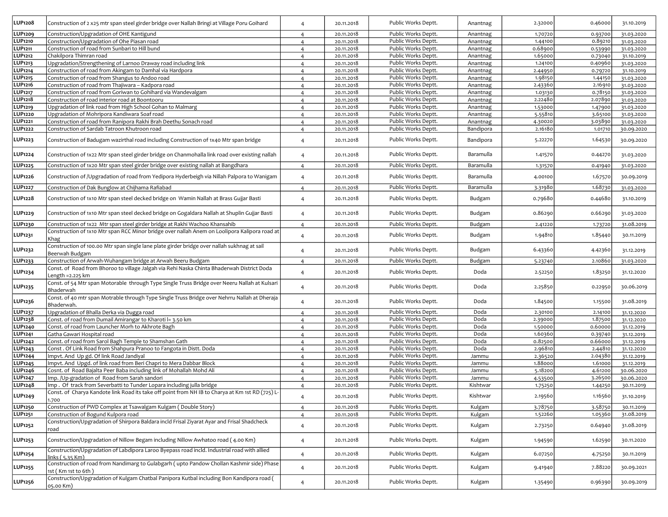| LUP1208             | Construction of 2 x25 mtr span steel girder bridge over Nallah Bringi at Village Poru Goihard                                         | $\overline{4}$ | 20.11.2018 | Public Works Deptt. | Anantnag  | 2.32000 | 0.46000 | 31.10.2019 |
|---------------------|---------------------------------------------------------------------------------------------------------------------------------------|----------------|------------|---------------------|-----------|---------|---------|------------|
| LUP1209             | Construction/Upgradation of OHE Kantigund                                                                                             | $\overline{4}$ | 20.11.2018 | Public Works Deptt. | Anantnag  | 1.70720 | 0.93700 | 31.03.2020 |
| <b>LUP1210</b>      | Construction/Upgradation of Ohe Piasan road                                                                                           | $\overline{4}$ | 20.11.2018 | Public Works Deptt. | Anantnag  | 1.44100 | 0.89210 | 31.03.2020 |
| LUP <sub>1211</sub> | Construction of road from Sunbari to Hill bund                                                                                        | $\overline{4}$ | 20.11.2018 | Public Works Deptt. | Anantnag  | 0.68900 | 0.53990 | 31.03.2020 |
| LUP1212             | Chakilpora Thimran road                                                                                                               | $\overline{4}$ | 20.11.2018 | Public Works Deptt. | Anantnag  | 1.65000 | 0.73040 | 31.10.2019 |
| LUP1213             | Upgradation/Strengthening of Larnoo Draway road including link                                                                        | $\overline{4}$ | 20.11.2018 | Public Works Deptt. | Anantnag  | 1.24100 | 0.40960 | 31.03.2020 |
| LUP1214             | Construction of road from Akingam to Damhal via Hardpora                                                                              | $\overline{4}$ | 20.11.2018 | Public Works Deptt. | Anantnag  | 2.44950 | 0.79720 | 31.10.2019 |
| LUP1215             | Construction of road from Shangus to Andoo road                                                                                       | $\overline{4}$ | 20.11.2018 | Public Works Deptt. | Anantnag  | 1.98150 | 1.44150 | 31.03.2020 |
| LUP1216             | Construction of road from Thajiwara - Kadpora road                                                                                    | $\overline{4}$ | 20.11.2018 | Public Works Deptt. | Anantnag  | 2.43360 | 2.16910 | 31.03.2020 |
| <b>LUP1217</b>      | Construction of road from Goriwan to Gohihard via Wandevalgam                                                                         | $\overline{4}$ | 20.11.2018 | Public Works Deptt. | Anantnag  | 1.03130 | 0.78150 | 31.03.2020 |
| LUP1218             | Construction of road interior road at Boontooru                                                                                       | $\overline{4}$ | 20.11.2018 | Public Works Deptt. | Anantnag  | 2.22480 | 2.07890 | 31.03.2020 |
| LUP1219             | Upgradation of link road from High School Gohan to Malmarg                                                                            | $\overline{4}$ | 20.11.2018 | Public Works Deptt. | Anantnag  | 1.53000 | 1.47900 | 31.03.2020 |
| <b>LUP1220</b>      | Upgradation of Mohripora Kandiwara Soaf road                                                                                          | $\overline{4}$ | 20.11.2018 | Public Works Deptt. | Anantnag  | 5.55810 | 3.65100 | 31.03.2020 |
| LUP1221             | Construction of road from Ranipora Rakhi Brah Deethu Sonach road                                                                      | $\overline{4}$ | 20.11.2018 | Public Works Deptt. | Anantnag  | 4.30020 | 3.03890 | 31.03.2020 |
| LUP1222             | Construction of Sardab Tatroon Khutroon road                                                                                          | $\overline{4}$ | 20.11.2018 | Public Works Deptt. | Bandipora | 2.16180 | 1.01710 | 30.09.2020 |
|                     |                                                                                                                                       |                |            |                     |           |         |         |            |
| LUP1223             | Construction of Badugam wazirthal road including Construction of 1x40 Mtr span bridge                                                 | $\overline{4}$ | 20.11.2018 | Public Works Deptt. | Bandipora | 5.22270 | 1.64530 | 30.09.2020 |
| LUP1224             | Construction of 1x22 Mtr span steel girder bridge on Chanmohalla link road over existing nallah                                       | $\overline{4}$ | 20.11.2018 | Public Works Deptt. | Baramulla | 1.41570 | 0.44270 | 31.03.2020 |
| <b>LUP1225</b>      | Construction of 1x20 Mtr span steel girder bridge over existing nallah at Bangdhara                                                   | $\overline{4}$ | 20.11.2018 | Public Works Deptt. | Baramulla | 1.31570 | 0.41940 | 31.03.2020 |
| LUP1226             | Construction of /Upgradation of road from Yedipora Hyderbeigh via Nillah Palpora to Wanigam                                           | $\overline{4}$ | 20.11.2018 | Public Works Deptt. | Baramulla | 4.00100 | 1.67570 | 30.09.2019 |
| <b>LUP1227</b>      | Construction of Dak Bunglow at Chijhama Rafiabad                                                                                      | $\overline{4}$ | 20.11.2018 | Public Works Deptt. | Baramulla | 3.31980 | 1.68730 | 31.03.2020 |
| LUP1228             | Construction of 1x10 Mtr span steel decked bridge on Wamin Nallah at Brass Gujjar Basti                                               | $\overline{4}$ | 20.11.2018 | Public Works Deptt. | Budgam    | 0.79680 | 0.44680 | 31.10.2019 |
| LUP1229             | Construction of 1x10 Mtr span steel decked bridge on Gogaldara Nallah at Shuplin Gujjar Basti                                         | 4              | 20.11.2018 | Public Works Deptt. | Budgam    | 0.86290 | 0.66290 | 31.03.2020 |
| LUP1230             | Construction of 1x22 Mtr span steel girder bridge at Rakhi Wachoo Khansahib                                                           | $\overline{4}$ | 20.11.2018 | Public Works Deptt. | Budgam    | 2.41220 | 1.73720 | 31.08.2019 |
|                     | Construction of 1x10 Mtr span RCC Minor bridge over nallah Anem on Loolipora Kalipora road at                                         |                |            |                     |           |         |         |            |
| LUP1231             | Khag<br>Construction of 100.00 Mtr span single lane plate girder bridge over nallah sukhnag at sail                                   | $\overline{4}$ | 20.11.2018 | Public Works Deptt. | Budgam    | 1.94810 | 1.8544c | 30.11.2019 |
| LUP1232             | Beerwah Budgam                                                                                                                        | $\overline{4}$ | 20.11.2018 | Public Works Deptt. | Budgam    | 6.43360 | 4.42360 | 31.12.2019 |
| LUP1233             | Construction of Arwah-Wuhangam bridge at Arwah Beeru Budgam                                                                           | $\overline{4}$ | 20.11.2018 | Public Works Deptt. | Budgam    | 5.23740 | 2.10860 | 31.03.2020 |
| LUP1234             | Const. of Road from Bhoroo to village Jalgah via Rehi Naska Chinta Bhaderwah District Doda<br>Length =2.225 km                        | $\overline{4}$ | 20.11.2018 | Public Works Deptt. | Doda      | 2.52250 | 1.83250 | 31.12.2020 |
| LUP1235             | Const. of 54 Mtr span Motorable through Type Single Truss Bridge over Neeru Nallah at Kulsari<br>Bhaderwah                            | $\overline{4}$ | 20.11.2018 | Public Works Deptt. | Doda      | 2.25850 | 0.22950 | 30.06.2019 |
| <b>LUP1236</b>      | Const. of 40 mtr span Motrable through Type Single Truss Bridge over Nehrru Nallah at Dheraja<br>Bhaderwah.                           | $\overline{4}$ | 20.11.2018 | Public Works Deptt. | Doda      | 1.84500 | 1.15500 | 31.08.2019 |
| LUP1237             | Upgradation of Bhalla Derka via Dugga road                                                                                            | $\overline{4}$ | 20.11.2018 | Public Works Deptt. | Doda      | 2.30100 | 2.14100 | 31.12.2020 |
| LUP1238             | Const. of road from Dumail Amirangar to Kharoti l= 3.50 km                                                                            | $\overline{4}$ | 20.11.2018 | Public Works Deptt. | Doda      | 2.39000 | 1.87500 | 31.12.2020 |
| LUP1240             | Const. of road from Launcher Morh to Akhrote Bagh                                                                                     | $\overline{4}$ | 20.11.2018 | Public Works Deptt. | Doda      | 1.50000 | 0.60000 | 31.12.2019 |
| LUP1241             | Gatha Gawari Hospital road                                                                                                            | $\overline{4}$ | 20.11.2018 | Public Works Deptt. | Doda      | 1.60360 | 0.39740 | 31.12.2019 |
| LUP1242             | Const. of road from Sarol Bagh Temple to Shamshan Gath                                                                                | $\overline{4}$ | 20.11.2018 | Public Works Deptt. | Doda      | 0.82500 | 0.66000 | 31.12.2019 |
| LUP1243             | Const. Of Link Road from Shahpura Pranoo to Fangota in Distt. Doda                                                                    | $\overline{4}$ | 20.11.2018 | Public Works Deptt. | Doda      | 2.96810 | 2.44810 | 31.12.2020 |
| LUP1244             | Impvt. And Up gd. Of link Road Jandiyal                                                                                               | $\overline{4}$ | 20.11.2018 | Public Works Deptt. | Jammu     | 2.36520 | 2.04380 | 31.12.2019 |
| LUP1245             | mpvt. And Upgd. of link road from Beri Chapri to Mera Dabbar Block                                                                    | $\overline{4}$ | 20.11.2018 | Public Works Deptt. | Jammu     | 1.88000 | 1.61000 | 31.12.2019 |
| LUP1246             | Cosnt. of Road Bajalta Peer Baba including link of Mohallah Mohd Ali                                                                  | $\overline{4}$ | 20.11.2018 | Public Works Deptt. | Jammu     | 5.18200 | 4.61200 | 30.06.2020 |
| LUP1247             | mp. /Up-gradation of Road from Sarah sandori                                                                                          | $\overline{4}$ | 20.11.2018 | Public Works Deptt. | Jammu     | 4.53500 | 3.26500 | 30.06.2020 |
| LUP1248             | Imp. Of track from Severbatti to Tunder Lopara including julla bridge                                                                 | $\overline{4}$ | 20.11.2018 | Public Works Deptt. | Kishtwar  | 1.75250 | 1.44250 | 30.11.2019 |
| LUP1249             | Const. of Charya Kandote link Road its take off point from NH IB to Charya at Km 1st RD (725) L-<br>1.700                             | $\overline{4}$ | 20.11.2018 | Public Works Deptt. | Kishtwar  | 2.19560 | 1.16560 | 31.10.2019 |
| <b>LUP1250</b>      | Construction of PWD Complex at Tsawalgam Kulgam (Double Story)                                                                        | $\overline{4}$ | 20.11.2018 | Public Works Deptt. | Kulgam    | 3.78750 | 3.5875c | 30.11.2019 |
| LUP1251             | Construction of Bogund Kulpora road                                                                                                   | $\overline{4}$ | 20.11.2018 | Public Works Deptt. | Kulgam    | 1.52260 | 1.05360 | 31.08.2019 |
| LUP1252             | Construction/Upgradation of Shirpora Baldara incld Frisal Ziyarat Ayar and Frisal Shadcheck<br>road                                   | $\overline{4}$ | 20.11.2018 | Public Works Deptt. | Kulgam    | 2.73250 | 0.64940 | 31.08.2019 |
| LUP1253             | Construction/Upgradation of Nillow Begam including Nillow Awhatoo road (4.00 Km)                                                      | $\overline{4}$ | 20.11.2018 | Public Works Deptt. | Kulgam    | 1.94590 | 1.62590 | 30.11.2020 |
| <b>LUP1254</b>      | Construction/Upgradation of Labdipora Laroo Byepass road incld. Industrial road with allied                                           | $\overline{4}$ | 20.11.2018 | Public Works Deptt. | Kulgam    | 6.07250 | 4.7525  | 30.11.2019 |
| LUP1255             | inks ( 5.35 Km)<br>Construction of road from Nandimarg to Gulabgarh (upto Pandow Chollan Kashmir side) Phase<br>1st ( Km 1st to 6th ) | $\overline{4}$ | 20.11.2018 | Public Works Deptt. | Kulgam    | 9.41940 | 7.88220 | 30.09.2021 |
| LUP1256             | Construction/Upgradation of Kulgam Chatbal Panipora Kutbal including Bon Kandipora road (<br>05.00 Km)                                | $\overline{4}$ | 20.11.2018 | Public Works Deptt. | Kulgam    | 1.35490 | 0.96390 | 30.09.2019 |
|                     |                                                                                                                                       |                |            |                     |           |         |         |            |